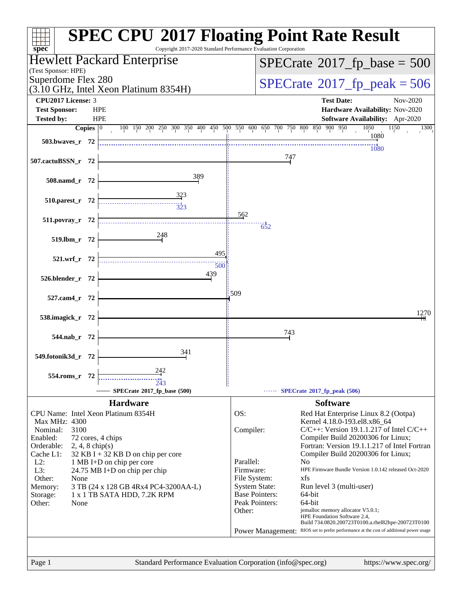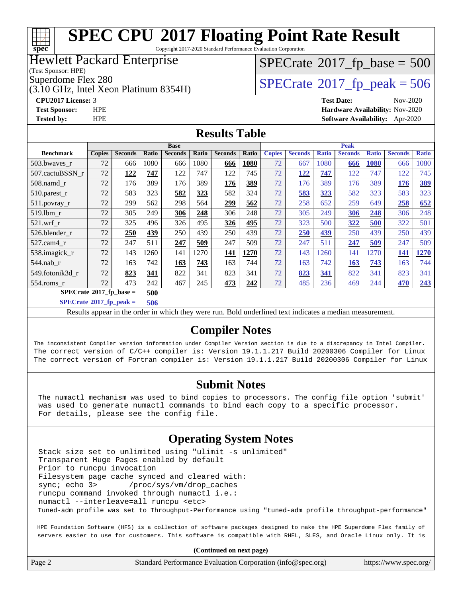#### **[SPEC CPU](http://www.spec.org/auto/cpu2017/Docs/result-fields.html#SPECCPU2017FloatingPointRateResult)[2017 Floating Point Rate Result](http://www.spec.org/auto/cpu2017/Docs/result-fields.html#SPECCPU2017FloatingPointRateResult)** Copyright 2017-2020 Standard Performance Evaluation Corporation

#### Hewlett Packard Enterprise

(Test Sponsor: HPE)

**[spec](http://www.spec.org/)**

(3.10 GHz, Intel Xeon Platinum 8354H)

# $SPECTate$ <sup>®</sup>[2017\\_fp\\_base =](http://www.spec.org/auto/cpu2017/Docs/result-fields.html#SPECrate2017fpbase) 500

Superdome Flex 280<br>(3.10 GHz, Intel Xeon Platinum 8354H)  $SPECTate@2017_fp\_peak = 506$ 

**[CPU2017 License:](http://www.spec.org/auto/cpu2017/Docs/result-fields.html#CPU2017License)** 3 **[Test Date:](http://www.spec.org/auto/cpu2017/Docs/result-fields.html#TestDate)** Nov-2020 **[Test Sponsor:](http://www.spec.org/auto/cpu2017/Docs/result-fields.html#TestSponsor)** HPE **[Hardware Availability:](http://www.spec.org/auto/cpu2017/Docs/result-fields.html#HardwareAvailability)** Nov-2020 **[Tested by:](http://www.spec.org/auto/cpu2017/Docs/result-fields.html#Testedby)** HPE **[Software Availability:](http://www.spec.org/auto/cpu2017/Docs/result-fields.html#SoftwareAvailability)** Apr-2020

#### **[Results Table](http://www.spec.org/auto/cpu2017/Docs/result-fields.html#ResultsTable)**

|                                   | <b>Base</b>   |                |       |                |       | <b>Peak</b>    |       |               |                |              |                |              |                |              |
|-----------------------------------|---------------|----------------|-------|----------------|-------|----------------|-------|---------------|----------------|--------------|----------------|--------------|----------------|--------------|
| <b>Benchmark</b>                  | <b>Copies</b> | <b>Seconds</b> | Ratio | <b>Seconds</b> | Ratio | <b>Seconds</b> | Ratio | <b>Copies</b> | <b>Seconds</b> | <b>Ratio</b> | <b>Seconds</b> | <b>Ratio</b> | <b>Seconds</b> | <b>Ratio</b> |
| 503.bwaves_r                      | 72            | 666            | 1080  | 666            | 1080  | 666            | 1080  | 72            | 667            | 1080         | 666            | 1080         | 666            | 1080         |
| 507.cactuBSSN r                   | 72            | 122            | 747   | 122            | 747   | 122            | 745   | 72            | 122            | 747          | 122            | 747          | 122            | 745          |
| $508$ .namd $r$                   | 72            | 176            | 389   | 176            | 389   | 176            | 389   | 72            | 176            | 389          | 176            | 389          | 176            | <u>389</u>   |
| 510.parest_r                      | 72            | 583            | 323   | 582            | 323   | 582            | 324   | 72            | 583            | 323          | 582            | 323          | 583            | 323          |
| 511.povray_r                      | 72            | 299            | 562   | 298            | 564   | 299            | 562   | 72            | 258            | 652          | 259            | 649          | 258            | 652          |
| $519$ .lbm $r$                    | 72            | 305            | 249   | 306            | 248   | 306            | 248   | 72            | 305            | 249          | 306            | 248          | 306            | 248          |
| $521$ .wrf r                      | 72            | 325            | 496   | 326            | 495   | 326            | 495   | 72            | 323            | 500          | 322            | 500          | 322            | 501          |
| 526.blender r                     | 72            | 250            | 439   | 250            | 439   | 250            | 439   | 72            | 250            | 439          | 250            | 439          | 250            | 439          |
| $527.cam4_r$                      | 72            | 247            | 511   | 247            | 509   | 247            | 509   | 72            | 247            | 511          | 247            | 509          | 247            | 509          |
| 538.imagick_r                     | 72            | 143            | 1260  | 141            | 1270  | 141            | 1270  | 72            | 143            | 1260         | 141            | 1270         | 141            | 1270         |
| $544$ .nab r                      | 72            | 163            | 742   | 163            | 743   | 163            | 744   | 72            | 163            | 742          | 163            | 743          | 163            | 744          |
| 549.fotonik3d r                   | 72            | 823            | 341   | 822            | 341   | 823            | 341   | 72            | 823            | 341          | 822            | 341          | 823            | 341          |
| $554$ .roms r                     | 72            | 473            | 242   | 467            | 245   | 473            | 242   | 72            | 485            | 236          | 469            | 244          | 470            | 243          |
| $SPECrate*2017_fp\_base =$<br>500 |               |                |       |                |       |                |       |               |                |              |                |              |                |              |

#### **[SPECrate](http://www.spec.org/auto/cpu2017/Docs/result-fields.html#SPECrate2017fppeak)[2017\\_fp\\_peak =](http://www.spec.org/auto/cpu2017/Docs/result-fields.html#SPECrate2017fppeak) 506**

Results appear in the [order in which they were run](http://www.spec.org/auto/cpu2017/Docs/result-fields.html#RunOrder). Bold underlined text [indicates a median measurement](http://www.spec.org/auto/cpu2017/Docs/result-fields.html#Median).

#### **[Compiler Notes](http://www.spec.org/auto/cpu2017/Docs/result-fields.html#CompilerNotes)**

The inconsistent Compiler version information under Compiler Version section is due to a discrepancy in Intel Compiler. The correct version of C/C++ compiler is: Version 19.1.1.217 Build 20200306 Compiler for Linux The correct version of Fortran compiler is: Version 19.1.1.217 Build 20200306 Compiler for Linux

#### **[Submit Notes](http://www.spec.org/auto/cpu2017/Docs/result-fields.html#SubmitNotes)**

 The numactl mechanism was used to bind copies to processors. The config file option 'submit' was used to generate numactl commands to bind each copy to a specific processor. For details, please see the config file.

### **[Operating System Notes](http://www.spec.org/auto/cpu2017/Docs/result-fields.html#OperatingSystemNotes)**

 Stack size set to unlimited using "ulimit -s unlimited" Transparent Huge Pages enabled by default Prior to runcpu invocation Filesystem page cache synced and cleared with: sync; echo 3> /proc/sys/vm/drop\_caches runcpu command invoked through numactl i.e.: numactl --interleave=all runcpu <etc> Tuned-adm profile was set to Throughput-Performance using "tuned-adm profile throughput-performance"

 HPE Foundation Software (HFS) is a collection of software packages designed to make the HPE Superdome Flex family of servers easier to use for customers. This software is compatible with RHEL, SLES, and Oracle Linux only. It is

| Page 2 | Standard Performance Evaluation Corporation (info@spec.org) | https://www.spec.org/ |
|--------|-------------------------------------------------------------|-----------------------|
|--------|-------------------------------------------------------------|-----------------------|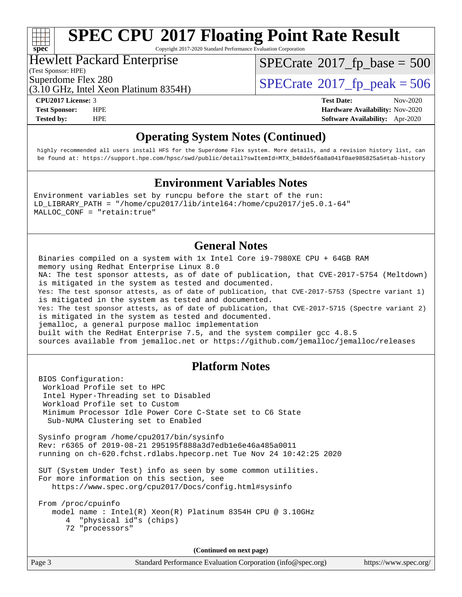# **[spec](http://www.spec.org/)**

# **[SPEC CPU](http://www.spec.org/auto/cpu2017/Docs/result-fields.html#SPECCPU2017FloatingPointRateResult)[2017 Floating Point Rate Result](http://www.spec.org/auto/cpu2017/Docs/result-fields.html#SPECCPU2017FloatingPointRateResult)**

Copyright 2017-2020 Standard Performance Evaluation Corporation

#### Hewlett Packard Enterprise

(Test Sponsor: HPE)

 $SPECTate$ <sup>®</sup>[2017\\_fp\\_base =](http://www.spec.org/auto/cpu2017/Docs/result-fields.html#SPECrate2017fpbase) 500

(3.10 GHz, Intel Xeon Platinum 8354H)

**[Tested by:](http://www.spec.org/auto/cpu2017/Docs/result-fields.html#Testedby)** HPE **[Software Availability:](http://www.spec.org/auto/cpu2017/Docs/result-fields.html#SoftwareAvailability)** Apr-2020

Superdome Flex 280<br>(3.10 GHz, Intel Xeon Platinum 8354H)  $SPECTate@2017_fp\_peak = 506$ 

**[CPU2017 License:](http://www.spec.org/auto/cpu2017/Docs/result-fields.html#CPU2017License)** 3 **[Test Date:](http://www.spec.org/auto/cpu2017/Docs/result-fields.html#TestDate)** Nov-2020 **[Test Sponsor:](http://www.spec.org/auto/cpu2017/Docs/result-fields.html#TestSponsor)** HPE **[Hardware Availability:](http://www.spec.org/auto/cpu2017/Docs/result-fields.html#HardwareAvailability)** Nov-2020

### **[Operating System Notes \(Continued\)](http://www.spec.org/auto/cpu2017/Docs/result-fields.html#OperatingSystemNotes)**

 highly recommended all users install HFS for the Superdome Flex system. More details, and a revision history list, can be found at: [https://support.hpe.com/hpsc/swd/public/detail?swItemId=MTX\\_b48de5f6a8a041f0ae985825a5#tab-history](https://support.hpe.com/hpsc/swd/public/detail?swItemId=MTX_b48de5f6a8a041f0ae985825a5#tab-history)

#### **[Environment Variables Notes](http://www.spec.org/auto/cpu2017/Docs/result-fields.html#EnvironmentVariablesNotes)**

Environment variables set by runcpu before the start of the run: LD\_LIBRARY\_PATH = "/home/cpu2017/lib/intel64:/home/cpu2017/je5.0.1-64" MALLOC\_CONF = "retain:true"

#### **[General Notes](http://www.spec.org/auto/cpu2017/Docs/result-fields.html#GeneralNotes)**

 Binaries compiled on a system with 1x Intel Core i9-7980XE CPU + 64GB RAM memory using Redhat Enterprise Linux 8.0 NA: The test sponsor attests, as of date of publication, that CVE-2017-5754 (Meltdown) is mitigated in the system as tested and documented. Yes: The test sponsor attests, as of date of publication, that CVE-2017-5753 (Spectre variant 1) is mitigated in the system as tested and documented. Yes: The test sponsor attests, as of date of publication, that CVE-2017-5715 (Spectre variant 2) is mitigated in the system as tested and documented. jemalloc, a general purpose malloc implementation built with the RedHat Enterprise 7.5, and the system compiler gcc 4.8.5 sources available from jemalloc.net or<https://github.com/jemalloc/jemalloc/releases>

#### **[Platform Notes](http://www.spec.org/auto/cpu2017/Docs/result-fields.html#PlatformNotes)**

 BIOS Configuration: Workload Profile set to HPC Intel Hyper-Threading set to Disabled Workload Profile set to Custom Minimum Processor Idle Power Core C-State set to C6 State Sub-NUMA Clustering set to Enabled Sysinfo program /home/cpu2017/bin/sysinfo Rev: r6365 of 2019-08-21 295195f888a3d7edb1e6e46a485a0011 running on ch-620.fchst.rdlabs.hpecorp.net Tue Nov 24 10:42:25 2020 SUT (System Under Test) info as seen by some common utilities. For more information on this section, see <https://www.spec.org/cpu2017/Docs/config.html#sysinfo> From /proc/cpuinfo model name : Intel(R) Xeon(R) Platinum 8354H CPU @ 3.10GHz 4 "physical id"s (chips) 72 "processors"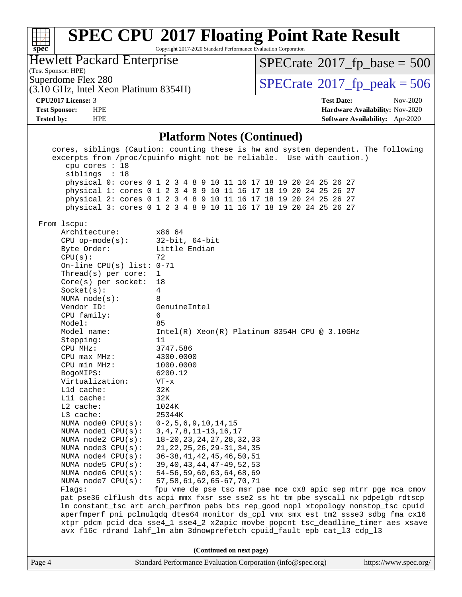#### **[SPEC CPU](http://www.spec.org/auto/cpu2017/Docs/result-fields.html#SPECCPU2017FloatingPointRateResult)[2017 Floating Point Rate Result](http://www.spec.org/auto/cpu2017/Docs/result-fields.html#SPECCPU2017FloatingPointRateResult)**  $\pm r$ **[spec](http://www.spec.org/)** Copyright 2017-2020 Standard Performance Evaluation Corporation Hewlett Packard Enterprise  $SPECTate$ <sup>®</sup>[2017\\_fp\\_base =](http://www.spec.org/auto/cpu2017/Docs/result-fields.html#SPECrate2017fpbase) 500 (Test Sponsor: HPE) Superdome Flex 280<br>(3.10 GHz, Intel Xeon Platinum 8354H)  $\text{SPECrate}$  $\text{SPECrate}$  $\text{SPECrate}$   $2017$  fp\_peak = 506 (3.10 GHz, Intel Xeon Platinum 8354H) **[CPU2017 License:](http://www.spec.org/auto/cpu2017/Docs/result-fields.html#CPU2017License)** 3 **[Test Date:](http://www.spec.org/auto/cpu2017/Docs/result-fields.html#TestDate)** Nov-2020 **[Test Sponsor:](http://www.spec.org/auto/cpu2017/Docs/result-fields.html#TestSponsor)** HPE **[Hardware Availability:](http://www.spec.org/auto/cpu2017/Docs/result-fields.html#HardwareAvailability)** Nov-2020 **[Tested by:](http://www.spec.org/auto/cpu2017/Docs/result-fields.html#Testedby)** HPE **[Software Availability:](http://www.spec.org/auto/cpu2017/Docs/result-fields.html#SoftwareAvailability)** Apr-2020 **[Platform Notes \(Continued\)](http://www.spec.org/auto/cpu2017/Docs/result-fields.html#PlatformNotes)** cores, siblings (Caution: counting these is hw and system dependent. The following excerpts from /proc/cpuinfo might not be reliable. Use with caution.) cpu cores : 18 siblings : 18 physical 0: cores 0 1 2 3 4 8 9 10 11 16 17 18 19 20 24 25 26 27 physical 1: cores 0 1 2 3 4 8 9 10 11 16 17 18 19 20 24 25 26 27 physical 2: cores 0 1 2 3 4 8 9 10 11 16 17 18 19 20 24 25 26 27 physical 3: cores 0 1 2 3 4 8 9 10 11 16 17 18 19 20 24 25 26 27 From lscpu: Architecture: x86\_64 CPU op-mode(s): 32-bit, 64-bit Byte Order: Little Endian CPU(s): 72 On-line CPU(s) list: 0-71 Thread(s) per core: 1 Core(s) per socket: 18 Socket(s): 4 NUMA node(s): 8 Vendor ID: GenuineIntel CPU family: 6 Model: 85 Model name: Intel(R) Xeon(R) Platinum 8354H CPU @ 3.10GHz Stepping: 11 CPU MHz: 3747.586 CPU max MHz: 4300.0000 CPU min MHz: 1000.0000 BogoMIPS: 6200.12 Virtualization: VT-x L1d cache: 32K L1i cache: 32K L2 cache: 1024K<br>
L3 cache: 25344K  $L3$  cache: NUMA node0 CPU(s): 0-2,5,6,9,10,14,15 NUMA node1 CPU(s): 3,4,7,8,11-13,16,17 NUMA node2 CPU(s): 18-20,23,24,27,28,32,33 NUMA node3 CPU(s): 21,22,25,26,29-31,34,35 NUMA node4 CPU(s): 36-38,41,42,45,46,50,51 NUMA node5 CPU(s): 39,40,43,44,47-49,52,53 NUMA node6 CPU(s): 54-56,59,60,63,64,68,69 NUMA node7 CPU(s): 57,58,61,62,65-67,70,71 Flags: fpu vme de pse tsc msr pae mce cx8 apic sep mtrr pge mca cmov pat pse36 clflush dts acpi mmx fxsr sse sse2 ss ht tm pbe syscall nx pdpe1gb rdtscp lm constant\_tsc art arch\_perfmon pebs bts rep\_good nopl xtopology nonstop\_tsc cpuid aperfmperf pni pclmulqdq dtes64 monitor ds\_cpl vmx smx est tm2 ssse3 sdbg fma cx16 xtpr pdcm pcid dca sse4\_1 sse4\_2 x2apic movbe popcnt tsc\_deadline\_timer aes xsave avx f16c rdrand lahf\_lm abm 3dnowprefetch cpuid\_fault epb cat\_l3 cdp\_l3 **(Continued on next page)**Page 4 Standard Performance Evaluation Corporation [\(info@spec.org\)](mailto:info@spec.org) <https://www.spec.org/>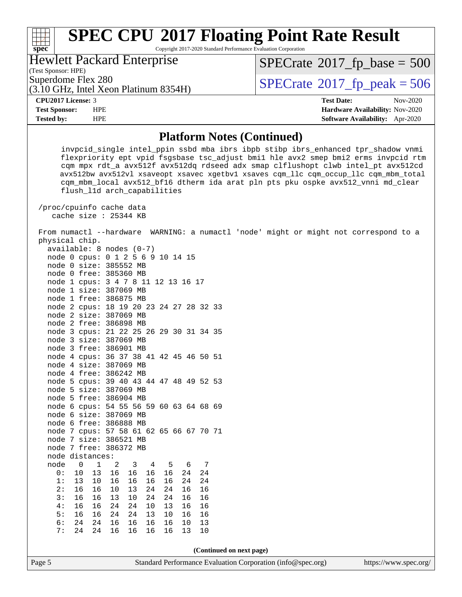#### **[SPEC CPU](http://www.spec.org/auto/cpu2017/Docs/result-fields.html#SPECCPU2017FloatingPointRateResult)[2017 Floating Point Rate Result](http://www.spec.org/auto/cpu2017/Docs/result-fields.html#SPECCPU2017FloatingPointRateResult)**  $\pm\pm\prime$ **[spec](http://www.spec.org/)** Copyright 2017-2020 Standard Performance Evaluation Corporation Hewlett Packard Enterprise

(Test Sponsor: HPE)

 $SPECTate$ <sup>®</sup>[2017\\_fp\\_base =](http://www.spec.org/auto/cpu2017/Docs/result-fields.html#SPECrate2017fpbase) 500

(3.10 GHz, Intel Xeon Platinum 8354H) Superdome Flex 280<br>(3.10 GHz, Intel Xeon Platinum 8354H)  $\text{SPECrate}$  $\text{SPECrate}$  $\text{SPECrate}$   $2017$  fp\_peak = 506

**[CPU2017 License:](http://www.spec.org/auto/cpu2017/Docs/result-fields.html#CPU2017License)** 3 **[Test Date:](http://www.spec.org/auto/cpu2017/Docs/result-fields.html#TestDate)** Nov-2020

**[Test Sponsor:](http://www.spec.org/auto/cpu2017/Docs/result-fields.html#TestSponsor)** HPE **[Hardware Availability:](http://www.spec.org/auto/cpu2017/Docs/result-fields.html#HardwareAvailability)** Nov-2020 **[Tested by:](http://www.spec.org/auto/cpu2017/Docs/result-fields.html#Testedby)** HPE **[Software Availability:](http://www.spec.org/auto/cpu2017/Docs/result-fields.html#SoftwareAvailability)** Apr-2020

#### **[Platform Notes \(Continued\)](http://www.spec.org/auto/cpu2017/Docs/result-fields.html#PlatformNotes)**

 invpcid\_single intel\_ppin ssbd mba ibrs ibpb stibp ibrs\_enhanced tpr\_shadow vnmi flexpriority ept vpid fsgsbase tsc\_adjust bmi1 hle avx2 smep bmi2 erms invpcid rtm cqm mpx rdt\_a avx512f avx512dq rdseed adx smap clflushopt clwb intel\_pt avx512cd avx512bw avx512vl xsaveopt xsavec xgetbv1 xsaves cqm\_llc cqm\_occup\_llc cqm\_mbm\_total cqm\_mbm\_local avx512\_bf16 dtherm ida arat pln pts pku ospke avx512\_vnni md\_clear flush\_l1d arch\_capabilities

 /proc/cpuinfo cache data cache size : 25344 KB

 From numactl --hardware WARNING: a numactl 'node' might or might not correspond to a physical chip.

| available: 8                      |                |    |       | $nodes (0-7)$    |           |    |                                    |    |                 |             |                |  |
|-----------------------------------|----------------|----|-------|------------------|-----------|----|------------------------------------|----|-----------------|-------------|----------------|--|
| node 0 cpus: 0 1 2 5 6 9 10 14 15 |                |    |       |                  |           |    |                                    |    |                 |             |                |  |
| node 0 size: 385552 MB            |                |    |       |                  |           |    |                                    |    |                 |             |                |  |
| node                              | 0              |    |       | free: 385360 MB  |           |    |                                    |    |                 |             |                |  |
| node 1                            |                |    |       | cpus: 3 4 7 8 11 |           |    |                                    |    |                 | 12 13 16 17 |                |  |
| node 1                            |                |    |       | size: 387069 MB  |           |    |                                    |    |                 |             |                |  |
| node                              | $\mathbf 1$    |    | free: | 386875 MB        |           |    |                                    |    |                 |             |                |  |
| node 2                            |                |    | cpus: |                  |           |    | 18 19 20 23 24 27 28 32 33         |    |                 |             |                |  |
| node 2                            |                |    | size: | 387069 MB        |           |    |                                    |    |                 |             |                |  |
| node 2                            |                |    |       | free: 386898 MB  |           |    |                                    |    |                 |             |                |  |
| node 3                            |                |    |       |                  |           |    | cpus: 21 22 25 26 29 30 31 34 35   |    |                 |             |                |  |
| node 3                            |                |    |       | size: 387069 MB  |           |    |                                    |    |                 |             |                |  |
| node 3                            |                |    |       | free: 386901 MB  |           |    |                                    |    |                 |             |                |  |
| node 4                            |                |    |       |                  |           |    | cpus: 36 37 38 41 42 45 46 50 51   |    |                 |             |                |  |
| node                              | 4              |    | size: | 387069 MB        |           |    |                                    |    |                 |             |                |  |
| node                              | 4              |    | free: | 386242 MB        |           |    |                                    |    |                 |             |                |  |
| node                              |                |    |       |                  |           |    | 5 cpus: 39 40 43 44 47 48 49 52 53 |    |                 |             |                |  |
| node 5 size:                      |                |    |       |                  | 387069 MB |    |                                    |    |                 |             |                |  |
| node 5                            |                |    |       | free: 386904 MB  |           |    |                                    |    |                 |             |                |  |
| node 6                            |                |    |       |                  |           |    | cpus: 54 55 56 59 60 63 64 68 69   |    |                 |             |                |  |
| node 6                            |                |    |       | size: 387069 MB  |           |    |                                    |    |                 |             |                |  |
| node 6                            |                |    |       | free: 386888 MB  |           |    |                                    |    |                 |             |                |  |
| node                              | 7              |    |       |                  |           |    | cpus: 57 58 61 62 65 66 67 70 71   |    |                 |             |                |  |
| node                              | 7              |    |       | size: 386521 MB  |           |    |                                    |    |                 |             |                |  |
| node                              | 7 <sup>1</sup> |    |       | free: 386372 MB  |           |    |                                    |    |                 |             |                |  |
| node distances:                   |                |    |       |                  |           |    |                                    |    |                 |             |                |  |
| node                              |                | 0  | 1     | 2                |           | 3  | 4                                  |    | 5               | - 6         | $\overline{7}$ |  |
| 0:                                |                | 10 | 13    | 16               |           | 16 | 16                                 |    | 16              | 24          | 24             |  |
| 1:                                |                | 13 | 10    | 16               |           | 16 | 16                                 | 16 |                 | 24          | 24             |  |
| 2:                                |                | 16 | 16    | 10               |           | 13 | 24                                 | 24 |                 | 16          | 16             |  |
| 3:                                |                | 16 | 16    |                  | 13        | 10 | 24                                 | 24 |                 | 16          | 16             |  |
| 4:                                |                | 16 | 16    | 24               |           | 24 | 10                                 |    | 13              | 16          | 16             |  |
| 5:                                |                | 16 | 16    |                  | 24        | 24 | 13                                 |    | 10 <sup>1</sup> | 16          | 16             |  |
| 6:                                |                | 24 | 24    | 16               |           | 16 | 16                                 | 16 |                 | 10          | 13             |  |
| 7:                                |                | 24 | 24    | 16               |           | 16 | 16                                 | 16 |                 | 13          | $10$           |  |
|                                   |                |    |       |                  |           |    |                                    |    |                 |             |                |  |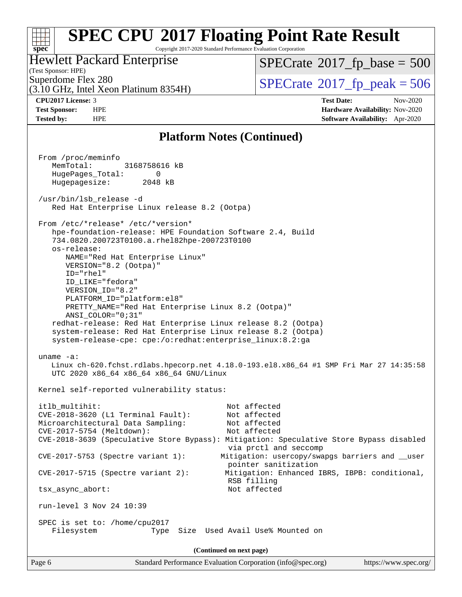#### **[SPEC CPU](http://www.spec.org/auto/cpu2017/Docs/result-fields.html#SPECCPU2017FloatingPointRateResult)[2017 Floating Point Rate Result](http://www.spec.org/auto/cpu2017/Docs/result-fields.html#SPECCPU2017FloatingPointRateResult)** Copyright 2017-2020 Standard Performance Evaluation Corporation

#### Hewlett Packard Enterprise

 $SPECrate$ <sup>®</sup>[2017\\_fp\\_base =](http://www.spec.org/auto/cpu2017/Docs/result-fields.html#SPECrate2017fpbase) 500

(Test Sponsor: HPE) (3.10 GHz, Intel Xeon Platinum 8354H)

Superdome Flex 280<br>  $(3.10 \text{ GHz} \cdot \text{Intel} \times \text{eon} \text{ Platinum} \cdot 8354\text{H})$   $\left| \text{SPECrate} \cdot 2017 \cdot \text{fp} \cdot \text{peak} \right| = 506$  $\left| \text{SPECrate} \cdot 2017 \cdot \text{fp} \cdot \text{peak} \right| = 506$  $\left| \text{SPECrate} \cdot 2017 \cdot \text{fp} \cdot \text{peak} \right| = 506$ 

**[spec](http://www.spec.org/)**

**[CPU2017 License:](http://www.spec.org/auto/cpu2017/Docs/result-fields.html#CPU2017License)** 3 **[Test Date:](http://www.spec.org/auto/cpu2017/Docs/result-fields.html#TestDate)** Nov-2020 **[Test Sponsor:](http://www.spec.org/auto/cpu2017/Docs/result-fields.html#TestSponsor)** HPE **[Hardware Availability:](http://www.spec.org/auto/cpu2017/Docs/result-fields.html#HardwareAvailability)** Nov-2020 **[Tested by:](http://www.spec.org/auto/cpu2017/Docs/result-fields.html#Testedby)** HPE **[Software Availability:](http://www.spec.org/auto/cpu2017/Docs/result-fields.html#SoftwareAvailability)** Apr-2020

#### **[Platform Notes \(Continued\)](http://www.spec.org/auto/cpu2017/Docs/result-fields.html#PlatformNotes)**

| From /proc/meminfo<br>MemTotal:<br>3168758616 kB<br>HugePages_Total:<br>0<br>Hugepagesize: 2048 kB                                                                                                                                                                                                                                                                                                                                                                                                                                                                                     |  |  |  |  |  |  |  |
|----------------------------------------------------------------------------------------------------------------------------------------------------------------------------------------------------------------------------------------------------------------------------------------------------------------------------------------------------------------------------------------------------------------------------------------------------------------------------------------------------------------------------------------------------------------------------------------|--|--|--|--|--|--|--|
| /usr/bin/lsb_release -d<br>Red Hat Enterprise Linux release 8.2 (Ootpa)                                                                                                                                                                                                                                                                                                                                                                                                                                                                                                                |  |  |  |  |  |  |  |
| From /etc/*release* /etc/*version*<br>hpe-foundation-release: HPE Foundation Software 2.4, Build<br>734.0820.200723T0100.a.rhel82hpe-200723T0100<br>os-release:<br>NAME="Red Hat Enterprise Linux"<br>VERSION="8.2 (Ootpa)"<br>ID="rhel"<br>ID LIKE="fedora"<br>VERSION_ID="8.2"<br>PLATFORM_ID="platform:el8"<br>PRETTY_NAME="Red Hat Enterprise Linux 8.2 (Ootpa)"<br>ANSI COLOR="0;31"<br>redhat-release: Red Hat Enterprise Linux release 8.2 (Ootpa)<br>system-release: Red Hat Enterprise Linux release 8.2 (Ootpa)<br>system-release-cpe: cpe:/o:redhat:enterprise_linux:8.2:ga |  |  |  |  |  |  |  |
| uname $-a$ :<br>Linux ch-620.fchst.rdlabs.hpecorp.net 4.18.0-193.el8.x86_64 #1 SMP Fri Mar 27 14:35:58<br>UTC 2020 x86_64 x86_64 x86_64 GNU/Linux                                                                                                                                                                                                                                                                                                                                                                                                                                      |  |  |  |  |  |  |  |
| Kernel self-reported vulnerability status:                                                                                                                                                                                                                                                                                                                                                                                                                                                                                                                                             |  |  |  |  |  |  |  |
| itlb_multihit:<br>Not affected<br>CVE-2018-3620 (L1 Terminal Fault):<br>Not affected<br>Microarchitectural Data Sampling:<br>Not affected<br>Not affected<br>CVE-2017-5754 (Meltdown):<br>CVE-2018-3639 (Speculative Store Bypass): Mitigation: Speculative Store Bypass disabled<br>via prctl and seccomp                                                                                                                                                                                                                                                                             |  |  |  |  |  |  |  |
| Mitigation: usercopy/swapgs barriers and __user<br>$CVE-2017-5753$ (Spectre variant 1):                                                                                                                                                                                                                                                                                                                                                                                                                                                                                                |  |  |  |  |  |  |  |
| pointer sanitization<br>Mitigation: Enhanced IBRS, IBPB: conditional,<br>$CVE-2017-5715$ (Spectre variant 2):                                                                                                                                                                                                                                                                                                                                                                                                                                                                          |  |  |  |  |  |  |  |
| RSB filling<br>tsx_async_abort:<br>Not affected                                                                                                                                                                                                                                                                                                                                                                                                                                                                                                                                        |  |  |  |  |  |  |  |
| run-level 3 Nov 24 10:39                                                                                                                                                                                                                                                                                                                                                                                                                                                                                                                                                               |  |  |  |  |  |  |  |
| SPEC is set to: /home/cpu2017<br>Used Avail Use% Mounted on<br>Filesystem<br>Size<br>Type                                                                                                                                                                                                                                                                                                                                                                                                                                                                                              |  |  |  |  |  |  |  |
| (Continued on next page)                                                                                                                                                                                                                                                                                                                                                                                                                                                                                                                                                               |  |  |  |  |  |  |  |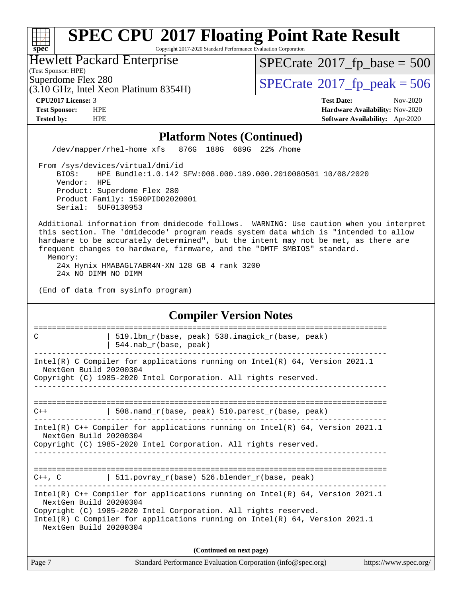Copyright 2017-2020 Standard Performance Evaluation Corporation

Hewlett Packard Enterprise

(Test Sponsor: HPE)

**[spec](http://www.spec.org/)**

 $+\ +$ 

 $SPECTate$ <sup>®</sup>[2017\\_fp\\_base =](http://www.spec.org/auto/cpu2017/Docs/result-fields.html#SPECrate2017fpbase) 500

(3.10 GHz, Intel Xeon Platinum 8354H)

Superdome Flex 280<br>(3.10 GHz, Intel Xeon Platinum 8354H)  $SPECTate@2017_fp\_peak = 506$ 

**[CPU2017 License:](http://www.spec.org/auto/cpu2017/Docs/result-fields.html#CPU2017License)** 3 **[Test Date:](http://www.spec.org/auto/cpu2017/Docs/result-fields.html#TestDate)** Nov-2020 **[Test Sponsor:](http://www.spec.org/auto/cpu2017/Docs/result-fields.html#TestSponsor)** HPE **[Hardware Availability:](http://www.spec.org/auto/cpu2017/Docs/result-fields.html#HardwareAvailability)** Nov-2020 **[Tested by:](http://www.spec.org/auto/cpu2017/Docs/result-fields.html#Testedby)** HPE **[Software Availability:](http://www.spec.org/auto/cpu2017/Docs/result-fields.html#SoftwareAvailability)** Apr-2020

#### **[Platform Notes \(Continued\)](http://www.spec.org/auto/cpu2017/Docs/result-fields.html#PlatformNotes)**

/dev/mapper/rhel-home xfs 876G 188G 689G 22% /home

 From /sys/devices/virtual/dmi/id BIOS: HPE Bundle:1.0.142 SFW:008.000.189.000.2010080501 10/08/2020 Vendor: HPE Product: Superdome Flex 280 Product Family: 1590PID02020001 Serial: 5UF0130953

 Additional information from dmidecode follows. WARNING: Use caution when you interpret this section. The 'dmidecode' program reads system data which is "intended to allow hardware to be accurately determined", but the intent may not be met, as there are frequent changes to hardware, firmware, and the "DMTF SMBIOS" standard. Memory:

 24x Hynix HMABAGL7ABR4N-XN 128 GB 4 rank 3200 24x NO DIMM NO DIMM

(End of data from sysinfo program)

#### **[Compiler Version Notes](http://www.spec.org/auto/cpu2017/Docs/result-fields.html#CompilerVersionNotes)**

| C                      | 519.1bm r(base, peak) 538.imagick r(base, peak)                                      |
|------------------------|--------------------------------------------------------------------------------------|
|                        | 544.nab_r(base, peak)                                                                |
| NextGen Build 20200304 | Intel(R) C Compiler for applications running on Intel(R) 64, Version 2021.1          |
|                        | Copyright (C) 1985-2020 Intel Corporation. All rights reserved.                      |
|                        |                                                                                      |
|                        |                                                                                      |
| $C++$                  | 508.namd_r(base, peak) 510.parest_r(base, peak)                                      |
| NextGen Build 20200304 | Intel(R) C++ Compiler for applications running on Intel(R) 64, Version 2021.1        |
|                        | Copyright (C) 1985-2020 Intel Corporation. All rights reserved.                      |
|                        |                                                                                      |
|                        |                                                                                      |
| $C++$ , $C$            | 511.povray_r(base) 526.blender_r(base, peak)                                         |
| NextGen Build 20200304 | Intel(R) C++ Compiler for applications running on Intel(R) 64, Version 2021.1        |
|                        | Copyright (C) 1985-2020 Intel Corporation. All rights reserved.                      |
| NextGen Build 20200304 | Intel(R) C Compiler for applications running on Intel(R) $64$ , Version 2021.1       |
|                        | (Continued on next page)                                                             |
| Page 7                 | Standard Performance Evaluation Corporation (info@spec.org)<br>https://www.spec.org/ |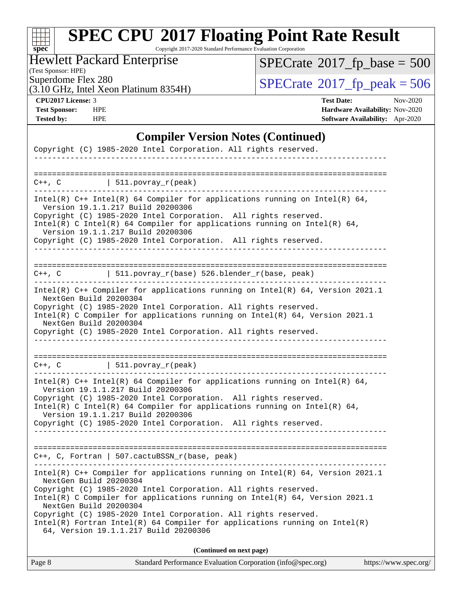#### $\pm$ **[spec](http://www.spec.org/)**

# **[SPEC CPU](http://www.spec.org/auto/cpu2017/Docs/result-fields.html#SPECCPU2017FloatingPointRateResult)[2017 Floating Point Rate Result](http://www.spec.org/auto/cpu2017/Docs/result-fields.html#SPECCPU2017FloatingPointRateResult)**

Copyright 2017-2020 Standard Performance Evaluation Corporation

#### Hewlett Packard Enterprise

 $SPECrate$ <sup>®</sup>[2017\\_fp\\_base =](http://www.spec.org/auto/cpu2017/Docs/result-fields.html#SPECrate2017fpbase) 500

(Test Sponsor: HPE)

(3.10 GHz, Intel Xeon Platinum 8354H)

 $SPECTate@2017_fp\_peak = 506$ 

**[CPU2017 License:](http://www.spec.org/auto/cpu2017/Docs/result-fields.html#CPU2017License)** 3 **[Test Date:](http://www.spec.org/auto/cpu2017/Docs/result-fields.html#TestDate)** Nov-2020 **[Test Sponsor:](http://www.spec.org/auto/cpu2017/Docs/result-fields.html#TestSponsor)** HPE **[Hardware Availability:](http://www.spec.org/auto/cpu2017/Docs/result-fields.html#HardwareAvailability)** Nov-2020 **[Tested by:](http://www.spec.org/auto/cpu2017/Docs/result-fields.html#Testedby)** HPE **[Software Availability:](http://www.spec.org/auto/cpu2017/Docs/result-fields.html#SoftwareAvailability)** Apr-2020

#### **[Compiler Version Notes \(Continued\)](http://www.spec.org/auto/cpu2017/Docs/result-fields.html#CompilerVersionNotes)**

| Copyright (C) 1985-2020 Intel Corporation. All rights reserved.<br>__________________________________                                                                                                                                                                                                                                                       |
|-------------------------------------------------------------------------------------------------------------------------------------------------------------------------------------------------------------------------------------------------------------------------------------------------------------------------------------------------------------|
|                                                                                                                                                                                                                                                                                                                                                             |
| $C++$ , $C$   511.povray_r(peak)                                                                                                                                                                                                                                                                                                                            |
| Intel(R) $C++$ Intel(R) 64 Compiler for applications running on Intel(R) 64,<br>Version 19.1.1.217 Build 20200306<br>Copyright (C) 1985-2020 Intel Corporation. All rights reserved.<br>Intel(R) C Intel(R) 64 Compiler for applications running on Intel(R) 64,<br>Version 19.1.1.217 Build 20200306                                                       |
| Copyright (C) 1985-2020 Intel Corporation. All rights reserved.                                                                                                                                                                                                                                                                                             |
|                                                                                                                                                                                                                                                                                                                                                             |
| $C++$ , C $\qquad$   511.povray_r(base) 526.blender_r(base, peak)                                                                                                                                                                                                                                                                                           |
| Intel(R) $C++$ Compiler for applications running on Intel(R) 64, Version 2021.1<br>NextGen Build 20200304<br>Copyright (C) 1985-2020 Intel Corporation. All rights reserved.<br>Intel(R) C Compiler for applications running on $Intel(R) 64$ , Version 2021.1<br>NextGen Build 20200304<br>Copyright (C) 1985-2020 Intel Corporation. All rights reserved. |
| $C++$ , C $\qquad \qquad$ 511.povray_r(peak)                                                                                                                                                                                                                                                                                                                |
| Intel(R) $C++$ Intel(R) 64 Compiler for applications running on Intel(R) 64,<br>Version 19.1.1.217 Build 20200306<br>Copyright (C) 1985-2020 Intel Corporation. All rights reserved.<br>Intel(R) C Intel(R) 64 Compiler for applications running on Intel(R) 64,<br>Version 19.1.1.217 Build 20200306                                                       |
| Copyright (C) 1985-2020 Intel Corporation. All rights reserved.                                                                                                                                                                                                                                                                                             |
| C++, C, Fortran   507.cactuBSSN_r(base, peak)                                                                                                                                                                                                                                                                                                               |
| Intel(R) $C++$ Compiler for applications running on Intel(R) 64, Version 2021.1<br>NextGen Build 20200304<br>Copyright (C) 1985-2020 Intel Corporation. All rights reserved.<br>Intel(R) C Compiler for applications running on Intel(R) 64, Version 2021.1<br>NextGen Build 20200304<br>Copyright (C) 1985-2020 Intel Corporation. All rights reserved.    |
| $Intel(R)$ Fortran Intel(R) 64 Compiler for applications running on Intel(R)<br>64, Version 19.1.1.217 Build 20200306                                                                                                                                                                                                                                       |
| (Continued on next page)                                                                                                                                                                                                                                                                                                                                    |

| Page 8 | Standard Performance Evaluation Corporation (info@spec.org) | https://www.spec.org/ |
|--------|-------------------------------------------------------------|-----------------------|
|        |                                                             |                       |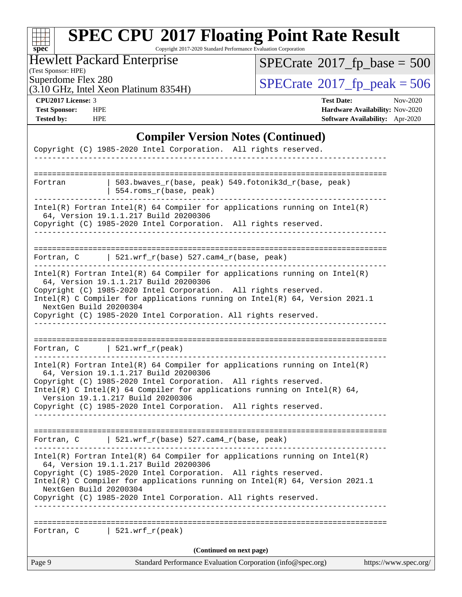#### **[spec](http://www.spec.org/) [SPEC CPU](http://www.spec.org/auto/cpu2017/Docs/result-fields.html#SPECCPU2017FloatingPointRateResult)[2017 Floating Point Rate Result](http://www.spec.org/auto/cpu2017/Docs/result-fields.html#SPECCPU2017FloatingPointRateResult)** Copyright 2017-2020 Standard Performance Evaluation Corporation (Test Sponsor: HPE) Hewlett Packard Enterprise (3.10 GHz, Intel Xeon Platinum 8354H) Superdome Flex 280<br>  $(3.10 \text{ GHz})$  Intel Xeon Platinum 8354H)  $\text{SPECrate}$  $\text{SPECrate}$  $\text{SPECrate}$ <sup>®</sup>[2017\\_fp\\_peak = 5](http://www.spec.org/auto/cpu2017/Docs/result-fields.html#SPECrate2017fppeak)06  $SPECTate$ <sup>®</sup>[2017\\_fp\\_base =](http://www.spec.org/auto/cpu2017/Docs/result-fields.html#SPECrate2017fpbase) 500 **[CPU2017 License:](http://www.spec.org/auto/cpu2017/Docs/result-fields.html#CPU2017License)** 3 **[Test Date:](http://www.spec.org/auto/cpu2017/Docs/result-fields.html#TestDate)** Nov-2020 **[Test Sponsor:](http://www.spec.org/auto/cpu2017/Docs/result-fields.html#TestSponsor)** HPE **[Hardware Availability:](http://www.spec.org/auto/cpu2017/Docs/result-fields.html#HardwareAvailability)** Nov-2020 **[Tested by:](http://www.spec.org/auto/cpu2017/Docs/result-fields.html#Testedby)** HPE **[Software Availability:](http://www.spec.org/auto/cpu2017/Docs/result-fields.html#SoftwareAvailability)** Apr-2020 **[Compiler Version Notes \(Continued\)](http://www.spec.org/auto/cpu2017/Docs/result-fields.html#CompilerVersionNotes)** Copyright (C) 1985-2020 Intel Corporation. All rights reserved. ------------------------------------------------------------------------------ ============================================================================== Fortran | 503.bwaves\_r(base, peak) 549.fotonik3d\_r(base, peak) | 554.roms\_r(base, peak) ------------------------------------------------------------------------------ Intel(R) Fortran Intel(R) 64 Compiler for applications running on Intel(R) 64, Version 19.1.1.217 Build 20200306 Copyright (C) 1985-2020 Intel Corporation. All rights reserved. ------------------------------------------------------------------------------ ============================================================================== Fortran, C | 521.wrf\_r(base)  $527$ .cam4\_r(base, peak) ------------------------------------------------------------------------------ Intel(R) Fortran Intel(R) 64 Compiler for applications running on Intel(R) 64, Version 19.1.1.217 Build 20200306 Copyright (C) 1985-2020 Intel Corporation. All rights reserved. Intel(R) C Compiler for applications running on Intel(R) 64, Version 2021.1 NextGen Build 20200304 Copyright (C) 1985-2020 Intel Corporation. All rights reserved. ------------------------------------------------------------------------------ ============================================================================== Fortran,  $C$  | 521.wrf\_r(peak) ------------------------------------------------------------------------------ Intel(R) Fortran Intel(R) 64 Compiler for applications running on Intel(R) 64, Version 19.1.1.217 Build 20200306 Copyright (C) 1985-2020 Intel Corporation. All rights reserved. Intel(R) C Intel(R) 64 Compiler for applications running on Intel(R)  $64$ , Version 19.1.1.217 Build 20200306 Copyright (C) 1985-2020 Intel Corporation. All rights reserved. ------------------------------------------------------------------------------ ============================================================================== Fortran, C | 521.wrf\_r(base) 527.cam4\_r(base, peak) ------------------------------------------------------------------------------ Intel(R) Fortran Intel(R) 64 Compiler for applications running on Intel(R) 64, Version 19.1.1.217 Build 20200306 Copyright (C) 1985-2020 Intel Corporation. All rights reserved. Intel(R) C Compiler for applications running on Intel(R) 64, Version 2021.1 NextGen Build 20200304 Copyright (C) 1985-2020 Intel Corporation. All rights reserved. ------------------------------------------------------------------------------ ============================================================================== Fortran,  $C$  | 521.wrf\_r(peak) **(Continued on next page)**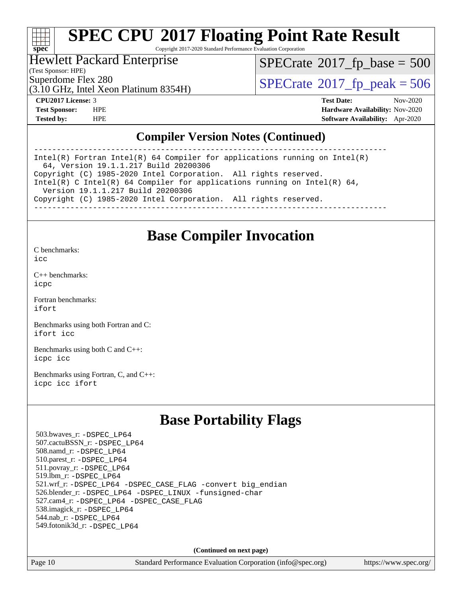#### a ta ƙ **[spec](http://www.spec.org/)**

# **[SPEC CPU](http://www.spec.org/auto/cpu2017/Docs/result-fields.html#SPECCPU2017FloatingPointRateResult)[2017 Floating Point Rate Result](http://www.spec.org/auto/cpu2017/Docs/result-fields.html#SPECCPU2017FloatingPointRateResult)**

Copyright 2017-2020 Standard Performance Evaluation Corporation

#### Hewlett Packard Enterprise

(Test Sponsor: HPE)

 $SPECTate$ <sup>®</sup>[2017\\_fp\\_base =](http://www.spec.org/auto/cpu2017/Docs/result-fields.html#SPECrate2017fpbase) 500

(3.10 GHz, Intel Xeon Platinum 8354H)

Superdome Flex 280<br>(3.10 GHz, Intel Xeon Platinum 8354H)  $\text{SPECrate}$  $\text{SPECrate}$  $\text{SPECrate}$   $2017$  fp\_peak = 506

**[CPU2017 License:](http://www.spec.org/auto/cpu2017/Docs/result-fields.html#CPU2017License)** 3 **[Test Date:](http://www.spec.org/auto/cpu2017/Docs/result-fields.html#TestDate)** Nov-2020 **[Test Sponsor:](http://www.spec.org/auto/cpu2017/Docs/result-fields.html#TestSponsor)** HPE **[Hardware Availability:](http://www.spec.org/auto/cpu2017/Docs/result-fields.html#HardwareAvailability)** Nov-2020 **[Tested by:](http://www.spec.org/auto/cpu2017/Docs/result-fields.html#Testedby)** HPE **[Software Availability:](http://www.spec.org/auto/cpu2017/Docs/result-fields.html#SoftwareAvailability)** Apr-2020

#### **[Compiler Version Notes \(Continued\)](http://www.spec.org/auto/cpu2017/Docs/result-fields.html#CompilerVersionNotes)**

------------------------------------------------------------------------------ Intel(R) Fortran Intel(R) 64 Compiler for applications running on Intel(R) 64, Version 19.1.1.217 Build 20200306 Copyright (C) 1985-2020 Intel Corporation. All rights reserved. Intel(R) C Intel(R) 64 Compiler for applications running on Intel(R)  $64$ , Version 19.1.1.217 Build 20200306 Copyright (C) 1985-2020 Intel Corporation. All rights reserved. ------------------------------------------------------------------------------

### **[Base Compiler Invocation](http://www.spec.org/auto/cpu2017/Docs/result-fields.html#BaseCompilerInvocation)**

[C benchmarks](http://www.spec.org/auto/cpu2017/Docs/result-fields.html#Cbenchmarks):  $i$ cc

[C++ benchmarks:](http://www.spec.org/auto/cpu2017/Docs/result-fields.html#CXXbenchmarks) [icpc](http://www.spec.org/cpu2017/results/res2020q4/cpu2017-20201207-24505.flags.html#user_CXXbase_intel_icpc_c510b6838c7f56d33e37e94d029a35b4a7bccf4766a728ee175e80a419847e808290a9b78be685c44ab727ea267ec2f070ec5dc83b407c0218cded6866a35d07)

[Fortran benchmarks](http://www.spec.org/auto/cpu2017/Docs/result-fields.html#Fortranbenchmarks): [ifort](http://www.spec.org/cpu2017/results/res2020q4/cpu2017-20201207-24505.flags.html#user_FCbase_intel_ifort_8111460550e3ca792625aed983ce982f94888b8b503583aa7ba2b8303487b4d8a21a13e7191a45c5fd58ff318f48f9492884d4413fa793fd88dd292cad7027ca)

[Benchmarks using both Fortran and C](http://www.spec.org/auto/cpu2017/Docs/result-fields.html#BenchmarksusingbothFortranandC): [ifort](http://www.spec.org/cpu2017/results/res2020q4/cpu2017-20201207-24505.flags.html#user_CC_FCbase_intel_ifort_8111460550e3ca792625aed983ce982f94888b8b503583aa7ba2b8303487b4d8a21a13e7191a45c5fd58ff318f48f9492884d4413fa793fd88dd292cad7027ca) [icc](http://www.spec.org/cpu2017/results/res2020q4/cpu2017-20201207-24505.flags.html#user_CC_FCbase_intel_icc_66fc1ee009f7361af1fbd72ca7dcefbb700085f36577c54f309893dd4ec40d12360134090235512931783d35fd58c0460139e722d5067c5574d8eaf2b3e37e92)

[Benchmarks using both C and C++](http://www.spec.org/auto/cpu2017/Docs/result-fields.html#BenchmarksusingbothCandCXX): [icpc](http://www.spec.org/cpu2017/results/res2020q4/cpu2017-20201207-24505.flags.html#user_CC_CXXbase_intel_icpc_c510b6838c7f56d33e37e94d029a35b4a7bccf4766a728ee175e80a419847e808290a9b78be685c44ab727ea267ec2f070ec5dc83b407c0218cded6866a35d07) [icc](http://www.spec.org/cpu2017/results/res2020q4/cpu2017-20201207-24505.flags.html#user_CC_CXXbase_intel_icc_66fc1ee009f7361af1fbd72ca7dcefbb700085f36577c54f309893dd4ec40d12360134090235512931783d35fd58c0460139e722d5067c5574d8eaf2b3e37e92)

[Benchmarks using Fortran, C, and C++:](http://www.spec.org/auto/cpu2017/Docs/result-fields.html#BenchmarksusingFortranCandCXX) [icpc](http://www.spec.org/cpu2017/results/res2020q4/cpu2017-20201207-24505.flags.html#user_CC_CXX_FCbase_intel_icpc_c510b6838c7f56d33e37e94d029a35b4a7bccf4766a728ee175e80a419847e808290a9b78be685c44ab727ea267ec2f070ec5dc83b407c0218cded6866a35d07) [icc](http://www.spec.org/cpu2017/results/res2020q4/cpu2017-20201207-24505.flags.html#user_CC_CXX_FCbase_intel_icc_66fc1ee009f7361af1fbd72ca7dcefbb700085f36577c54f309893dd4ec40d12360134090235512931783d35fd58c0460139e722d5067c5574d8eaf2b3e37e92) [ifort](http://www.spec.org/cpu2017/results/res2020q4/cpu2017-20201207-24505.flags.html#user_CC_CXX_FCbase_intel_ifort_8111460550e3ca792625aed983ce982f94888b8b503583aa7ba2b8303487b4d8a21a13e7191a45c5fd58ff318f48f9492884d4413fa793fd88dd292cad7027ca)

### **[Base Portability Flags](http://www.spec.org/auto/cpu2017/Docs/result-fields.html#BasePortabilityFlags)**

 503.bwaves\_r: [-DSPEC\\_LP64](http://www.spec.org/cpu2017/results/res2020q4/cpu2017-20201207-24505.flags.html#suite_basePORTABILITY503_bwaves_r_DSPEC_LP64) 507.cactuBSSN\_r: [-DSPEC\\_LP64](http://www.spec.org/cpu2017/results/res2020q4/cpu2017-20201207-24505.flags.html#suite_basePORTABILITY507_cactuBSSN_r_DSPEC_LP64) 508.namd\_r: [-DSPEC\\_LP64](http://www.spec.org/cpu2017/results/res2020q4/cpu2017-20201207-24505.flags.html#suite_basePORTABILITY508_namd_r_DSPEC_LP64) 510.parest\_r: [-DSPEC\\_LP64](http://www.spec.org/cpu2017/results/res2020q4/cpu2017-20201207-24505.flags.html#suite_basePORTABILITY510_parest_r_DSPEC_LP64) 511.povray\_r: [-DSPEC\\_LP64](http://www.spec.org/cpu2017/results/res2020q4/cpu2017-20201207-24505.flags.html#suite_basePORTABILITY511_povray_r_DSPEC_LP64) 519.lbm\_r: [-DSPEC\\_LP64](http://www.spec.org/cpu2017/results/res2020q4/cpu2017-20201207-24505.flags.html#suite_basePORTABILITY519_lbm_r_DSPEC_LP64) 521.wrf\_r: [-DSPEC\\_LP64](http://www.spec.org/cpu2017/results/res2020q4/cpu2017-20201207-24505.flags.html#suite_basePORTABILITY521_wrf_r_DSPEC_LP64) [-DSPEC\\_CASE\\_FLAG](http://www.spec.org/cpu2017/results/res2020q4/cpu2017-20201207-24505.flags.html#b521.wrf_r_baseCPORTABILITY_DSPEC_CASE_FLAG) [-convert big\\_endian](http://www.spec.org/cpu2017/results/res2020q4/cpu2017-20201207-24505.flags.html#user_baseFPORTABILITY521_wrf_r_convert_big_endian_c3194028bc08c63ac5d04de18c48ce6d347e4e562e8892b8bdbdc0214820426deb8554edfa529a3fb25a586e65a3d812c835984020483e7e73212c4d31a38223) 526.blender\_r: [-DSPEC\\_LP64](http://www.spec.org/cpu2017/results/res2020q4/cpu2017-20201207-24505.flags.html#suite_basePORTABILITY526_blender_r_DSPEC_LP64) [-DSPEC\\_LINUX](http://www.spec.org/cpu2017/results/res2020q4/cpu2017-20201207-24505.flags.html#b526.blender_r_baseCPORTABILITY_DSPEC_LINUX) [-funsigned-char](http://www.spec.org/cpu2017/results/res2020q4/cpu2017-20201207-24505.flags.html#user_baseCPORTABILITY526_blender_r_force_uchar_40c60f00ab013830e2dd6774aeded3ff59883ba5a1fc5fc14077f794d777847726e2a5858cbc7672e36e1b067e7e5c1d9a74f7176df07886a243d7cc18edfe67) 527.cam4\_r: [-DSPEC\\_LP64](http://www.spec.org/cpu2017/results/res2020q4/cpu2017-20201207-24505.flags.html#suite_basePORTABILITY527_cam4_r_DSPEC_LP64) [-DSPEC\\_CASE\\_FLAG](http://www.spec.org/cpu2017/results/res2020q4/cpu2017-20201207-24505.flags.html#b527.cam4_r_baseCPORTABILITY_DSPEC_CASE_FLAG) 538.imagick\_r: [-DSPEC\\_LP64](http://www.spec.org/cpu2017/results/res2020q4/cpu2017-20201207-24505.flags.html#suite_basePORTABILITY538_imagick_r_DSPEC_LP64) 544.nab\_r: [-DSPEC\\_LP64](http://www.spec.org/cpu2017/results/res2020q4/cpu2017-20201207-24505.flags.html#suite_basePORTABILITY544_nab_r_DSPEC_LP64) 549.fotonik3d\_r: [-DSPEC\\_LP64](http://www.spec.org/cpu2017/results/res2020q4/cpu2017-20201207-24505.flags.html#suite_basePORTABILITY549_fotonik3d_r_DSPEC_LP64)

**(Continued on next page)**

Page 10 Standard Performance Evaluation Corporation [\(info@spec.org\)](mailto:info@spec.org) <https://www.spec.org/>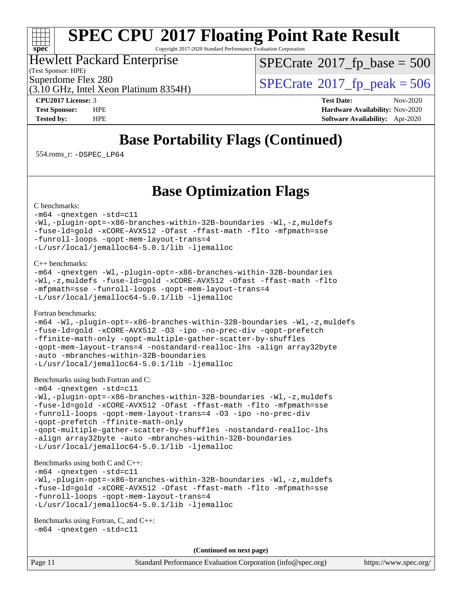# **[spec](http://www.spec.org/)**

# **[SPEC CPU](http://www.spec.org/auto/cpu2017/Docs/result-fields.html#SPECCPU2017FloatingPointRateResult)[2017 Floating Point Rate Result](http://www.spec.org/auto/cpu2017/Docs/result-fields.html#SPECCPU2017FloatingPointRateResult)**

Copyright 2017-2020 Standard Performance Evaluation Corporation

#### Hewlett Packard Enterprise

(Test Sponsor: HPE)

 $SPECTate$ <sup>®</sup>[2017\\_fp\\_base =](http://www.spec.org/auto/cpu2017/Docs/result-fields.html#SPECrate2017fpbase) 500

(3.10 GHz, Intel Xeon Platinum 8354H)

Superdome Flex 280<br>(3.10 GHz, Intel Xeon Platinum 8354H)  $\text{SPECrate}$  $\text{SPECrate}$  $\text{SPECrate}$   $2017$  fp\_peak = 506

**[CPU2017 License:](http://www.spec.org/auto/cpu2017/Docs/result-fields.html#CPU2017License)** 3 **[Test Date:](http://www.spec.org/auto/cpu2017/Docs/result-fields.html#TestDate)** Nov-2020 **[Test Sponsor:](http://www.spec.org/auto/cpu2017/Docs/result-fields.html#TestSponsor)** HPE **[Hardware Availability:](http://www.spec.org/auto/cpu2017/Docs/result-fields.html#HardwareAvailability)** Nov-2020 **[Tested by:](http://www.spec.org/auto/cpu2017/Docs/result-fields.html#Testedby)** HPE **[Software Availability:](http://www.spec.org/auto/cpu2017/Docs/result-fields.html#SoftwareAvailability)** Apr-2020

## **[Base Portability Flags \(Continued\)](http://www.spec.org/auto/cpu2017/Docs/result-fields.html#BasePortabilityFlags)**

554.roms\_r: [-DSPEC\\_LP64](http://www.spec.org/cpu2017/results/res2020q4/cpu2017-20201207-24505.flags.html#suite_basePORTABILITY554_roms_r_DSPEC_LP64)

### **[Base Optimization Flags](http://www.spec.org/auto/cpu2017/Docs/result-fields.html#BaseOptimizationFlags)**

[C benchmarks](http://www.spec.org/auto/cpu2017/Docs/result-fields.html#Cbenchmarks):

#### [-m64](http://www.spec.org/cpu2017/results/res2020q4/cpu2017-20201207-24505.flags.html#user_CCbase_m64-icc) [-qnextgen](http://www.spec.org/cpu2017/results/res2020q4/cpu2017-20201207-24505.flags.html#user_CCbase_f-qnextgen) [-std=c11](http://www.spec.org/cpu2017/results/res2020q4/cpu2017-20201207-24505.flags.html#user_CCbase_std-icc-std_0e1c27790398a4642dfca32ffe6c27b5796f9c2d2676156f2e42c9c44eaad0c049b1cdb667a270c34d979996257aeb8fc440bfb01818dbc9357bd9d174cb8524) [-Wl,-plugin-opt=-x86-branches-within-32B-boundaries](http://www.spec.org/cpu2017/results/res2020q4/cpu2017-20201207-24505.flags.html#user_CCbase_f-x86-branches-within-32B-boundaries_0098b4e4317ae60947b7b728078a624952a08ac37a3c797dfb4ffeb399e0c61a9dd0f2f44ce917e9361fb9076ccb15e7824594512dd315205382d84209e912f3) [-Wl,-z,muldefs](http://www.spec.org/cpu2017/results/res2020q4/cpu2017-20201207-24505.flags.html#user_CCbase_link_force_multiple1_b4cbdb97b34bdee9ceefcfe54f4c8ea74255f0b02a4b23e853cdb0e18eb4525ac79b5a88067c842dd0ee6996c24547a27a4b99331201badda8798ef8a743f577) [-fuse-ld=gold](http://www.spec.org/cpu2017/results/res2020q4/cpu2017-20201207-24505.flags.html#user_CCbase_f-fuse-ld_920b3586e2b8c6e0748b9c84fa9b744736ba725a32cab14ad8f3d4ad28eecb2f59d1144823d2e17006539a88734fe1fc08fc3035f7676166309105a78aaabc32) [-xCORE-AVX512](http://www.spec.org/cpu2017/results/res2020q4/cpu2017-20201207-24505.flags.html#user_CCbase_f-xCORE-AVX512) [-Ofast](http://www.spec.org/cpu2017/results/res2020q4/cpu2017-20201207-24505.flags.html#user_CCbase_f-Ofast) [-ffast-math](http://www.spec.org/cpu2017/results/res2020q4/cpu2017-20201207-24505.flags.html#user_CCbase_f-ffast-math) [-flto](http://www.spec.org/cpu2017/results/res2020q4/cpu2017-20201207-24505.flags.html#user_CCbase_f-flto) [-mfpmath=sse](http://www.spec.org/cpu2017/results/res2020q4/cpu2017-20201207-24505.flags.html#user_CCbase_f-mfpmath_70eb8fac26bde974f8ab713bc9086c5621c0b8d2f6c86f38af0bd7062540daf19db5f3a066d8c6684be05d84c9b6322eb3b5be6619d967835195b93d6c02afa1) [-funroll-loops](http://www.spec.org/cpu2017/results/res2020q4/cpu2017-20201207-24505.flags.html#user_CCbase_f-funroll-loops) [-qopt-mem-layout-trans=4](http://www.spec.org/cpu2017/results/res2020q4/cpu2017-20201207-24505.flags.html#user_CCbase_f-qopt-mem-layout-trans_fa39e755916c150a61361b7846f310bcdf6f04e385ef281cadf3647acec3f0ae266d1a1d22d972a7087a248fd4e6ca390a3634700869573d231a252c784941a8) [-L/usr/local/jemalloc64-5.0.1/lib](http://www.spec.org/cpu2017/results/res2020q4/cpu2017-20201207-24505.flags.html#user_CCbase_jemalloc_link_path64_1_cc289568b1a6c0fd3b62c91b824c27fcb5af5e8098e6ad028160d21144ef1b8aef3170d2acf0bee98a8da324cfe4f67d0a3d0c4cc4673d993d694dc2a0df248b) [-ljemalloc](http://www.spec.org/cpu2017/results/res2020q4/cpu2017-20201207-24505.flags.html#user_CCbase_jemalloc_link_lib_d1249b907c500fa1c0672f44f562e3d0f79738ae9e3c4a9c376d49f265a04b9c99b167ecedbf6711b3085be911c67ff61f150a17b3472be731631ba4d0471706)

[C++ benchmarks:](http://www.spec.org/auto/cpu2017/Docs/result-fields.html#CXXbenchmarks)

```
-m64 -qnextgen -Wl,-plugin-opt=-x86-branches-within-32B-boundaries
-Wl,-z,muldefs -fuse-ld=gold -xCORE-AVX512 -Ofast -ffast-math -flto
-mfpmath=sse -funroll-loops -qopt-mem-layout-trans=4
-L/usr/local/jemalloc64-5.0.1/lib -ljemalloc
```
[Fortran benchmarks](http://www.spec.org/auto/cpu2017/Docs/result-fields.html#Fortranbenchmarks):

```
-m64 -Wl,-plugin-opt=-x86-branches-within-32B-boundaries -Wl,-z,muldefs
-fuse-ld=gold -xCORE-AVX512 -O3 -ipo -no-prec-div -qopt-prefetch
-ffinite-math-only -qopt-multiple-gather-scatter-by-shuffles
-qopt-mem-layout-trans=4 -nostandard-realloc-lhs -align array32byte
-auto -mbranches-within-32B-boundaries
-L/usr/local/jemalloc64-5.0.1/lib -ljemalloc
```
[Benchmarks using both Fortran and C](http://www.spec.org/auto/cpu2017/Docs/result-fields.html#BenchmarksusingbothFortranandC):

```
-m64 -qnextgen -std=c11
-Wl,-plugin-opt=-x86-branches-within-32B-boundaries -Wl,-z,muldefs
-fuse-ld=gold -xCORE-AVX512 -Ofast -ffast-math -flto -mfpmath=sse
-funroll-loops -qopt-mem-layout-trans=4 -O3 -ipo -no-prec-div
-qopt-prefetch -ffinite-math-only
-qopt-multiple-gather-scatter-by-shuffles -nostandard-realloc-lhs
-align array32byte -auto -mbranches-within-32B-boundaries
-L/usr/local/jemalloc64-5.0.1/lib -ljemalloc
```
[Benchmarks using both C and C++](http://www.spec.org/auto/cpu2017/Docs/result-fields.html#BenchmarksusingbothCandCXX):

```
-m64 -qnextgen -std=c11
-Wl,-plugin-opt=-x86-branches-within-32B-boundaries -Wl,-z,muldefs
-fuse-ld=gold -xCORE-AVX512 -Ofast -ffast-math -flto -mfpmath=sse
-funroll-loops -qopt-mem-layout-trans=4
-L/usr/local/jemalloc64-5.0.1/lib -ljemalloc
```

```
Benchmarks using Fortran, C, and C++: 
-m64 -qnextgen -std=c11
```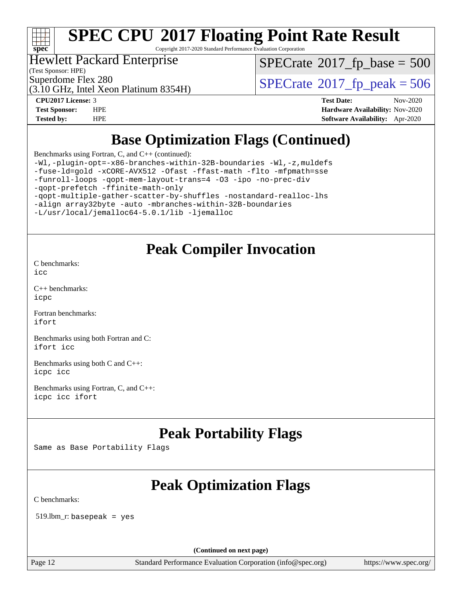

Copyright 2017-2020 Standard Performance Evaluation Corporation

#### Hewlett Packard Enterprise

(Test Sponsor: HPE)

 $SPECTate$ <sup>®</sup>[2017\\_fp\\_base =](http://www.spec.org/auto/cpu2017/Docs/result-fields.html#SPECrate2017fpbase) 500

(3.10 GHz, Intel Xeon Platinum 8354H)

Superdome Flex 280<br>(3.10 GHz, Intel Xeon Platinum 8354H)  $\text{SPECrate}$  $\text{SPECrate}$  $\text{SPECrate}$   $2017$  fp\_peak = 506

**[CPU2017 License:](http://www.spec.org/auto/cpu2017/Docs/result-fields.html#CPU2017License)** 3 **[Test Date:](http://www.spec.org/auto/cpu2017/Docs/result-fields.html#TestDate)** Nov-2020 **[Test Sponsor:](http://www.spec.org/auto/cpu2017/Docs/result-fields.html#TestSponsor)** HPE **[Hardware Availability:](http://www.spec.org/auto/cpu2017/Docs/result-fields.html#HardwareAvailability)** Nov-2020 **[Tested by:](http://www.spec.org/auto/cpu2017/Docs/result-fields.html#Testedby)** HPE **[Software Availability:](http://www.spec.org/auto/cpu2017/Docs/result-fields.html#SoftwareAvailability)** Apr-2020

### **[Base Optimization Flags \(Continued\)](http://www.spec.org/auto/cpu2017/Docs/result-fields.html#BaseOptimizationFlags)**

[Benchmarks using Fortran, C, and C++](http://www.spec.org/auto/cpu2017/Docs/result-fields.html#BenchmarksusingFortranCandCXX) (continued):

[-Wl,-plugin-opt=-x86-branches-within-32B-boundaries](http://www.spec.org/cpu2017/results/res2020q4/cpu2017-20201207-24505.flags.html#user_CC_CXX_FCbase_f-x86-branches-within-32B-boundaries_0098b4e4317ae60947b7b728078a624952a08ac37a3c797dfb4ffeb399e0c61a9dd0f2f44ce917e9361fb9076ccb15e7824594512dd315205382d84209e912f3) [-Wl,-z,muldefs](http://www.spec.org/cpu2017/results/res2020q4/cpu2017-20201207-24505.flags.html#user_CC_CXX_FCbase_link_force_multiple1_b4cbdb97b34bdee9ceefcfe54f4c8ea74255f0b02a4b23e853cdb0e18eb4525ac79b5a88067c842dd0ee6996c24547a27a4b99331201badda8798ef8a743f577) [-fuse-ld=gold](http://www.spec.org/cpu2017/results/res2020q4/cpu2017-20201207-24505.flags.html#user_CC_CXX_FCbase_f-fuse-ld_920b3586e2b8c6e0748b9c84fa9b744736ba725a32cab14ad8f3d4ad28eecb2f59d1144823d2e17006539a88734fe1fc08fc3035f7676166309105a78aaabc32) [-xCORE-AVX512](http://www.spec.org/cpu2017/results/res2020q4/cpu2017-20201207-24505.flags.html#user_CC_CXX_FCbase_f-xCORE-AVX512) [-Ofast](http://www.spec.org/cpu2017/results/res2020q4/cpu2017-20201207-24505.flags.html#user_CC_CXX_FCbase_f-Ofast) [-ffast-math](http://www.spec.org/cpu2017/results/res2020q4/cpu2017-20201207-24505.flags.html#user_CC_CXX_FCbase_f-ffast-math) [-flto](http://www.spec.org/cpu2017/results/res2020q4/cpu2017-20201207-24505.flags.html#user_CC_CXX_FCbase_f-flto) [-mfpmath=sse](http://www.spec.org/cpu2017/results/res2020q4/cpu2017-20201207-24505.flags.html#user_CC_CXX_FCbase_f-mfpmath_70eb8fac26bde974f8ab713bc9086c5621c0b8d2f6c86f38af0bd7062540daf19db5f3a066d8c6684be05d84c9b6322eb3b5be6619d967835195b93d6c02afa1) [-funroll-loops](http://www.spec.org/cpu2017/results/res2020q4/cpu2017-20201207-24505.flags.html#user_CC_CXX_FCbase_f-funroll-loops) [-qopt-mem-layout-trans=4](http://www.spec.org/cpu2017/results/res2020q4/cpu2017-20201207-24505.flags.html#user_CC_CXX_FCbase_f-qopt-mem-layout-trans_fa39e755916c150a61361b7846f310bcdf6f04e385ef281cadf3647acec3f0ae266d1a1d22d972a7087a248fd4e6ca390a3634700869573d231a252c784941a8) [-O3](http://www.spec.org/cpu2017/results/res2020q4/cpu2017-20201207-24505.flags.html#user_CC_CXX_FCbase_f-O3) [-ipo](http://www.spec.org/cpu2017/results/res2020q4/cpu2017-20201207-24505.flags.html#user_CC_CXX_FCbase_f-ipo) [-no-prec-div](http://www.spec.org/cpu2017/results/res2020q4/cpu2017-20201207-24505.flags.html#user_CC_CXX_FCbase_f-no-prec-div) [-qopt-prefetch](http://www.spec.org/cpu2017/results/res2020q4/cpu2017-20201207-24505.flags.html#user_CC_CXX_FCbase_f-qopt-prefetch) [-ffinite-math-only](http://www.spec.org/cpu2017/results/res2020q4/cpu2017-20201207-24505.flags.html#user_CC_CXX_FCbase_f_finite_math_only_cb91587bd2077682c4b38af759c288ed7c732db004271a9512da14a4f8007909a5f1427ecbf1a0fb78ff2a814402c6114ac565ca162485bbcae155b5e4258871) [-qopt-multiple-gather-scatter-by-shuffles](http://www.spec.org/cpu2017/results/res2020q4/cpu2017-20201207-24505.flags.html#user_CC_CXX_FCbase_f-qopt-multiple-gather-scatter-by-shuffles) [-nostandard-realloc-lhs](http://www.spec.org/cpu2017/results/res2020q4/cpu2017-20201207-24505.flags.html#user_CC_CXX_FCbase_f_2003_std_realloc_82b4557e90729c0f113870c07e44d33d6f5a304b4f63d4c15d2d0f1fab99f5daaed73bdb9275d9ae411527f28b936061aa8b9c8f2d63842963b95c9dd6426b8a) [-align array32byte](http://www.spec.org/cpu2017/results/res2020q4/cpu2017-20201207-24505.flags.html#user_CC_CXX_FCbase_align_array32byte_b982fe038af199962ba9a80c053b8342c548c85b40b8e86eb3cc33dee0d7986a4af373ac2d51c3f7cf710a18d62fdce2948f201cd044323541f22fc0fffc51b6) [-auto](http://www.spec.org/cpu2017/results/res2020q4/cpu2017-20201207-24505.flags.html#user_CC_CXX_FCbase_f-auto) [-mbranches-within-32B-boundaries](http://www.spec.org/cpu2017/results/res2020q4/cpu2017-20201207-24505.flags.html#user_CC_CXX_FCbase_f-mbranches-within-32B-boundaries) [-L/usr/local/jemalloc64-5.0.1/lib](http://www.spec.org/cpu2017/results/res2020q4/cpu2017-20201207-24505.flags.html#user_CC_CXX_FCbase_jemalloc_link_path64_1_cc289568b1a6c0fd3b62c91b824c27fcb5af5e8098e6ad028160d21144ef1b8aef3170d2acf0bee98a8da324cfe4f67d0a3d0c4cc4673d993d694dc2a0df248b) [-ljemalloc](http://www.spec.org/cpu2017/results/res2020q4/cpu2017-20201207-24505.flags.html#user_CC_CXX_FCbase_jemalloc_link_lib_d1249b907c500fa1c0672f44f562e3d0f79738ae9e3c4a9c376d49f265a04b9c99b167ecedbf6711b3085be911c67ff61f150a17b3472be731631ba4d0471706)

### **[Peak Compiler Invocation](http://www.spec.org/auto/cpu2017/Docs/result-fields.html#PeakCompilerInvocation)**

[C benchmarks](http://www.spec.org/auto/cpu2017/Docs/result-fields.html#Cbenchmarks): [icc](http://www.spec.org/cpu2017/results/res2020q4/cpu2017-20201207-24505.flags.html#user_CCpeak_intel_icc_66fc1ee009f7361af1fbd72ca7dcefbb700085f36577c54f309893dd4ec40d12360134090235512931783d35fd58c0460139e722d5067c5574d8eaf2b3e37e92)

[C++ benchmarks:](http://www.spec.org/auto/cpu2017/Docs/result-fields.html#CXXbenchmarks) [icpc](http://www.spec.org/cpu2017/results/res2020q4/cpu2017-20201207-24505.flags.html#user_CXXpeak_intel_icpc_c510b6838c7f56d33e37e94d029a35b4a7bccf4766a728ee175e80a419847e808290a9b78be685c44ab727ea267ec2f070ec5dc83b407c0218cded6866a35d07)

[Fortran benchmarks](http://www.spec.org/auto/cpu2017/Docs/result-fields.html#Fortranbenchmarks): [ifort](http://www.spec.org/cpu2017/results/res2020q4/cpu2017-20201207-24505.flags.html#user_FCpeak_intel_ifort_8111460550e3ca792625aed983ce982f94888b8b503583aa7ba2b8303487b4d8a21a13e7191a45c5fd58ff318f48f9492884d4413fa793fd88dd292cad7027ca)

[Benchmarks using both Fortran and C](http://www.spec.org/auto/cpu2017/Docs/result-fields.html#BenchmarksusingbothFortranandC): [ifort](http://www.spec.org/cpu2017/results/res2020q4/cpu2017-20201207-24505.flags.html#user_CC_FCpeak_intel_ifort_8111460550e3ca792625aed983ce982f94888b8b503583aa7ba2b8303487b4d8a21a13e7191a45c5fd58ff318f48f9492884d4413fa793fd88dd292cad7027ca) [icc](http://www.spec.org/cpu2017/results/res2020q4/cpu2017-20201207-24505.flags.html#user_CC_FCpeak_intel_icc_66fc1ee009f7361af1fbd72ca7dcefbb700085f36577c54f309893dd4ec40d12360134090235512931783d35fd58c0460139e722d5067c5574d8eaf2b3e37e92)

[Benchmarks using both C and C++](http://www.spec.org/auto/cpu2017/Docs/result-fields.html#BenchmarksusingbothCandCXX): [icpc](http://www.spec.org/cpu2017/results/res2020q4/cpu2017-20201207-24505.flags.html#user_CC_CXXpeak_intel_icpc_c510b6838c7f56d33e37e94d029a35b4a7bccf4766a728ee175e80a419847e808290a9b78be685c44ab727ea267ec2f070ec5dc83b407c0218cded6866a35d07) [icc](http://www.spec.org/cpu2017/results/res2020q4/cpu2017-20201207-24505.flags.html#user_CC_CXXpeak_intel_icc_66fc1ee009f7361af1fbd72ca7dcefbb700085f36577c54f309893dd4ec40d12360134090235512931783d35fd58c0460139e722d5067c5574d8eaf2b3e37e92)

[Benchmarks using Fortran, C, and C++:](http://www.spec.org/auto/cpu2017/Docs/result-fields.html#BenchmarksusingFortranCandCXX) [icpc](http://www.spec.org/cpu2017/results/res2020q4/cpu2017-20201207-24505.flags.html#user_CC_CXX_FCpeak_intel_icpc_c510b6838c7f56d33e37e94d029a35b4a7bccf4766a728ee175e80a419847e808290a9b78be685c44ab727ea267ec2f070ec5dc83b407c0218cded6866a35d07) [icc](http://www.spec.org/cpu2017/results/res2020q4/cpu2017-20201207-24505.flags.html#user_CC_CXX_FCpeak_intel_icc_66fc1ee009f7361af1fbd72ca7dcefbb700085f36577c54f309893dd4ec40d12360134090235512931783d35fd58c0460139e722d5067c5574d8eaf2b3e37e92) [ifort](http://www.spec.org/cpu2017/results/res2020q4/cpu2017-20201207-24505.flags.html#user_CC_CXX_FCpeak_intel_ifort_8111460550e3ca792625aed983ce982f94888b8b503583aa7ba2b8303487b4d8a21a13e7191a45c5fd58ff318f48f9492884d4413fa793fd88dd292cad7027ca)

### **[Peak Portability Flags](http://www.spec.org/auto/cpu2017/Docs/result-fields.html#PeakPortabilityFlags)**

Same as Base Portability Flags

### **[Peak Optimization Flags](http://www.spec.org/auto/cpu2017/Docs/result-fields.html#PeakOptimizationFlags)**

[C benchmarks](http://www.spec.org/auto/cpu2017/Docs/result-fields.html#Cbenchmarks):

519.lbm\_r: basepeak = yes

**(Continued on next page)**

Page 12 Standard Performance Evaluation Corporation [\(info@spec.org\)](mailto:info@spec.org) <https://www.spec.org/>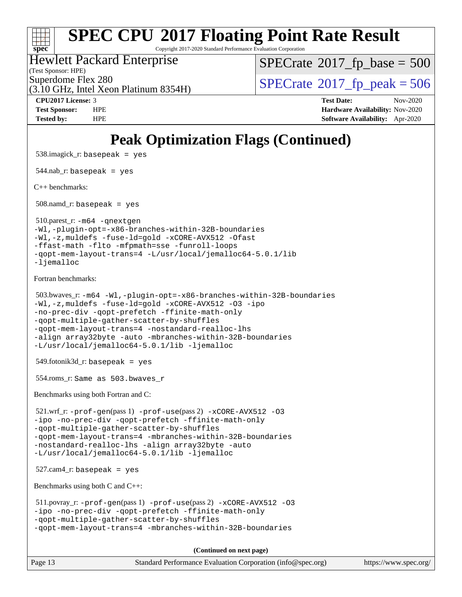

Copyright 2017-2020 Standard Performance Evaluation Corporation

#### Hewlett Packard Enterprise

(Test Sponsor: HPE)

 $SPECTate$ <sup>®</sup>[2017\\_fp\\_base =](http://www.spec.org/auto/cpu2017/Docs/result-fields.html#SPECrate2017fpbase) 500

(3.10 GHz, Intel Xeon Platinum 8354H)

Superdome Flex 280<br>(3.10 GHz, Intel Xeon Platinum 8354H)  $\text{SPECrate}$  $\text{SPECrate}$  $\text{SPECrate}$   $2017$  fp\_peak = 506

**[CPU2017 License:](http://www.spec.org/auto/cpu2017/Docs/result-fields.html#CPU2017License)** 3 **[Test Date:](http://www.spec.org/auto/cpu2017/Docs/result-fields.html#TestDate)** Nov-2020 **[Test Sponsor:](http://www.spec.org/auto/cpu2017/Docs/result-fields.html#TestSponsor)** HPE **[Hardware Availability:](http://www.spec.org/auto/cpu2017/Docs/result-fields.html#HardwareAvailability)** Nov-2020 **[Tested by:](http://www.spec.org/auto/cpu2017/Docs/result-fields.html#Testedby)** HPE **[Software Availability:](http://www.spec.org/auto/cpu2017/Docs/result-fields.html#SoftwareAvailability)** Apr-2020

## **[Peak Optimization Flags \(Continued\)](http://www.spec.org/auto/cpu2017/Docs/result-fields.html#PeakOptimizationFlags)**

 538.imagick\_r: basepeak = yes  $544$ .nab\_r: basepeak = yes [C++ benchmarks:](http://www.spec.org/auto/cpu2017/Docs/result-fields.html#CXXbenchmarks) 508.namd\_r: basepeak = yes 510.parest\_r: [-m64](http://www.spec.org/cpu2017/results/res2020q4/cpu2017-20201207-24505.flags.html#user_peakCXXLD510_parest_r_m64-icc) [-qnextgen](http://www.spec.org/cpu2017/results/res2020q4/cpu2017-20201207-24505.flags.html#user_peakCXXLD510_parest_r_f-qnextgen) [-Wl,-plugin-opt=-x86-branches-within-32B-boundaries](http://www.spec.org/cpu2017/results/res2020q4/cpu2017-20201207-24505.flags.html#user_peakLDFLAGS510_parest_r_f-x86-branches-within-32B-boundaries_0098b4e4317ae60947b7b728078a624952a08ac37a3c797dfb4ffeb399e0c61a9dd0f2f44ce917e9361fb9076ccb15e7824594512dd315205382d84209e912f3) [-Wl,-z,muldefs](http://www.spec.org/cpu2017/results/res2020q4/cpu2017-20201207-24505.flags.html#user_peakEXTRA_LDFLAGS510_parest_r_link_force_multiple1_b4cbdb97b34bdee9ceefcfe54f4c8ea74255f0b02a4b23e853cdb0e18eb4525ac79b5a88067c842dd0ee6996c24547a27a4b99331201badda8798ef8a743f577) [-fuse-ld=gold](http://www.spec.org/cpu2017/results/res2020q4/cpu2017-20201207-24505.flags.html#user_peakEXTRA_LDFLAGS510_parest_r_f-fuse-ld_920b3586e2b8c6e0748b9c84fa9b744736ba725a32cab14ad8f3d4ad28eecb2f59d1144823d2e17006539a88734fe1fc08fc3035f7676166309105a78aaabc32) [-xCORE-AVX512](http://www.spec.org/cpu2017/results/res2020q4/cpu2017-20201207-24505.flags.html#user_peakCXXOPTIMIZE510_parest_r_f-xCORE-AVX512) [-Ofast](http://www.spec.org/cpu2017/results/res2020q4/cpu2017-20201207-24505.flags.html#user_peakCXXOPTIMIZE510_parest_r_f-Ofast) [-ffast-math](http://www.spec.org/cpu2017/results/res2020q4/cpu2017-20201207-24505.flags.html#user_peakCXXOPTIMIZE510_parest_r_f-ffast-math) [-flto](http://www.spec.org/cpu2017/results/res2020q4/cpu2017-20201207-24505.flags.html#user_peakCXXOPTIMIZE510_parest_r_f-flto) [-mfpmath=sse](http://www.spec.org/cpu2017/results/res2020q4/cpu2017-20201207-24505.flags.html#user_peakCXXOPTIMIZE510_parest_r_f-mfpmath_70eb8fac26bde974f8ab713bc9086c5621c0b8d2f6c86f38af0bd7062540daf19db5f3a066d8c6684be05d84c9b6322eb3b5be6619d967835195b93d6c02afa1) [-funroll-loops](http://www.spec.org/cpu2017/results/res2020q4/cpu2017-20201207-24505.flags.html#user_peakCXXOPTIMIZE510_parest_r_f-funroll-loops) [-qopt-mem-layout-trans=4](http://www.spec.org/cpu2017/results/res2020q4/cpu2017-20201207-24505.flags.html#user_peakCXXOPTIMIZE510_parest_r_f-qopt-mem-layout-trans_fa39e755916c150a61361b7846f310bcdf6f04e385ef281cadf3647acec3f0ae266d1a1d22d972a7087a248fd4e6ca390a3634700869573d231a252c784941a8) [-L/usr/local/jemalloc64-5.0.1/lib](http://www.spec.org/cpu2017/results/res2020q4/cpu2017-20201207-24505.flags.html#user_peakEXTRA_LIBS510_parest_r_jemalloc_link_path64_1_cc289568b1a6c0fd3b62c91b824c27fcb5af5e8098e6ad028160d21144ef1b8aef3170d2acf0bee98a8da324cfe4f67d0a3d0c4cc4673d993d694dc2a0df248b) [-ljemalloc](http://www.spec.org/cpu2017/results/res2020q4/cpu2017-20201207-24505.flags.html#user_peakEXTRA_LIBS510_parest_r_jemalloc_link_lib_d1249b907c500fa1c0672f44f562e3d0f79738ae9e3c4a9c376d49f265a04b9c99b167ecedbf6711b3085be911c67ff61f150a17b3472be731631ba4d0471706) [Fortran benchmarks](http://www.spec.org/auto/cpu2017/Docs/result-fields.html#Fortranbenchmarks): 503.bwaves\_r: [-m64](http://www.spec.org/cpu2017/results/res2020q4/cpu2017-20201207-24505.flags.html#user_peakFCLD503_bwaves_r_m64-icc) [-Wl,-plugin-opt=-x86-branches-within-32B-boundaries](http://www.spec.org/cpu2017/results/res2020q4/cpu2017-20201207-24505.flags.html#user_peakLDFLAGS503_bwaves_r_f-x86-branches-within-32B-boundaries_0098b4e4317ae60947b7b728078a624952a08ac37a3c797dfb4ffeb399e0c61a9dd0f2f44ce917e9361fb9076ccb15e7824594512dd315205382d84209e912f3) [-Wl,-z,muldefs](http://www.spec.org/cpu2017/results/res2020q4/cpu2017-20201207-24505.flags.html#user_peakEXTRA_LDFLAGS503_bwaves_r_link_force_multiple1_b4cbdb97b34bdee9ceefcfe54f4c8ea74255f0b02a4b23e853cdb0e18eb4525ac79b5a88067c842dd0ee6996c24547a27a4b99331201badda8798ef8a743f577) [-fuse-ld=gold](http://www.spec.org/cpu2017/results/res2020q4/cpu2017-20201207-24505.flags.html#user_peakEXTRA_LDFLAGS503_bwaves_r_f-fuse-ld_920b3586e2b8c6e0748b9c84fa9b744736ba725a32cab14ad8f3d4ad28eecb2f59d1144823d2e17006539a88734fe1fc08fc3035f7676166309105a78aaabc32) [-xCORE-AVX512](http://www.spec.org/cpu2017/results/res2020q4/cpu2017-20201207-24505.flags.html#user_peakFOPTIMIZE503_bwaves_r_f-xCORE-AVX512) [-O3](http://www.spec.org/cpu2017/results/res2020q4/cpu2017-20201207-24505.flags.html#user_peakFOPTIMIZE503_bwaves_r_f-O3) [-ipo](http://www.spec.org/cpu2017/results/res2020q4/cpu2017-20201207-24505.flags.html#user_peakFOPTIMIZE503_bwaves_r_f-ipo) [-no-prec-div](http://www.spec.org/cpu2017/results/res2020q4/cpu2017-20201207-24505.flags.html#user_peakFOPTIMIZE503_bwaves_r_f-no-prec-div) [-qopt-prefetch](http://www.spec.org/cpu2017/results/res2020q4/cpu2017-20201207-24505.flags.html#user_peakFOPTIMIZE503_bwaves_r_f-qopt-prefetch) [-ffinite-math-only](http://www.spec.org/cpu2017/results/res2020q4/cpu2017-20201207-24505.flags.html#user_peakFOPTIMIZE503_bwaves_r_f_finite_math_only_cb91587bd2077682c4b38af759c288ed7c732db004271a9512da14a4f8007909a5f1427ecbf1a0fb78ff2a814402c6114ac565ca162485bbcae155b5e4258871) [-qopt-multiple-gather-scatter-by-shuffles](http://www.spec.org/cpu2017/results/res2020q4/cpu2017-20201207-24505.flags.html#user_peakFOPTIMIZE503_bwaves_r_f-qopt-multiple-gather-scatter-by-shuffles) [-qopt-mem-layout-trans=4](http://www.spec.org/cpu2017/results/res2020q4/cpu2017-20201207-24505.flags.html#user_peakFOPTIMIZE503_bwaves_r_f-qopt-mem-layout-trans_fa39e755916c150a61361b7846f310bcdf6f04e385ef281cadf3647acec3f0ae266d1a1d22d972a7087a248fd4e6ca390a3634700869573d231a252c784941a8) [-nostandard-realloc-lhs](http://www.spec.org/cpu2017/results/res2020q4/cpu2017-20201207-24505.flags.html#user_peakEXTRA_FOPTIMIZE503_bwaves_r_f_2003_std_realloc_82b4557e90729c0f113870c07e44d33d6f5a304b4f63d4c15d2d0f1fab99f5daaed73bdb9275d9ae411527f28b936061aa8b9c8f2d63842963b95c9dd6426b8a) [-align array32byte](http://www.spec.org/cpu2017/results/res2020q4/cpu2017-20201207-24505.flags.html#user_peakEXTRA_FOPTIMIZE503_bwaves_r_align_array32byte_b982fe038af199962ba9a80c053b8342c548c85b40b8e86eb3cc33dee0d7986a4af373ac2d51c3f7cf710a18d62fdce2948f201cd044323541f22fc0fffc51b6) [-auto](http://www.spec.org/cpu2017/results/res2020q4/cpu2017-20201207-24505.flags.html#user_peakEXTRA_FOPTIMIZE503_bwaves_r_f-auto) [-mbranches-within-32B-boundaries](http://www.spec.org/cpu2017/results/res2020q4/cpu2017-20201207-24505.flags.html#user_peakEXTRA_FOPTIMIZE503_bwaves_r_f-mbranches-within-32B-boundaries) [-L/usr/local/jemalloc64-5.0.1/lib](http://www.spec.org/cpu2017/results/res2020q4/cpu2017-20201207-24505.flags.html#user_peakEXTRA_LIBS503_bwaves_r_jemalloc_link_path64_1_cc289568b1a6c0fd3b62c91b824c27fcb5af5e8098e6ad028160d21144ef1b8aef3170d2acf0bee98a8da324cfe4f67d0a3d0c4cc4673d993d694dc2a0df248b) [-ljemalloc](http://www.spec.org/cpu2017/results/res2020q4/cpu2017-20201207-24505.flags.html#user_peakEXTRA_LIBS503_bwaves_r_jemalloc_link_lib_d1249b907c500fa1c0672f44f562e3d0f79738ae9e3c4a9c376d49f265a04b9c99b167ecedbf6711b3085be911c67ff61f150a17b3472be731631ba4d0471706) 549.fotonik3d\_r: basepeak = yes 554.roms\_r: Same as 503.bwaves\_r [Benchmarks using both Fortran and C](http://www.spec.org/auto/cpu2017/Docs/result-fields.html#BenchmarksusingbothFortranandC): 521.wrf\_r: [-prof-gen](http://www.spec.org/cpu2017/results/res2020q4/cpu2017-20201207-24505.flags.html#user_peakPASS1_CFLAGSPASS1_FFLAGSPASS1_LDFLAGS521_wrf_r_prof_gen_5aa4926d6013ddb2a31985c654b3eb18169fc0c6952a63635c234f711e6e63dd76e94ad52365559451ec499a2cdb89e4dc58ba4c67ef54ca681ffbe1461d6b36)(pass 1) [-prof-use](http://www.spec.org/cpu2017/results/res2020q4/cpu2017-20201207-24505.flags.html#user_peakPASS2_CFLAGSPASS2_FFLAGSPASS2_LDFLAGS521_wrf_r_prof_use_1a21ceae95f36a2b53c25747139a6c16ca95bd9def2a207b4f0849963b97e94f5260e30a0c64f4bb623698870e679ca08317ef8150905d41bd88c6f78df73f19)(pass 2) [-xCORE-AVX512](http://www.spec.org/cpu2017/results/res2020q4/cpu2017-20201207-24505.flags.html#user_peakCOPTIMIZEPASS2_COPTIMIZEPASS2_FOPTIMIZE521_wrf_r_f-xCORE-AVX512) [-O3](http://www.spec.org/cpu2017/results/res2020q4/cpu2017-20201207-24505.flags.html#user_peakCOPTIMIZEPASS1_COPTIMIZEPASS1_FOPTIMIZEPASS2_COPTIMIZEPASS2_FOPTIMIZE521_wrf_r_f-O3) [-ipo](http://www.spec.org/cpu2017/results/res2020q4/cpu2017-20201207-24505.flags.html#user_peakCOPTIMIZEPASS1_COPTIMIZEPASS1_FOPTIMIZEPASS2_COPTIMIZEPASS2_FOPTIMIZE521_wrf_r_f-ipo) [-no-prec-div](http://www.spec.org/cpu2017/results/res2020q4/cpu2017-20201207-24505.flags.html#user_peakCOPTIMIZEPASS1_COPTIMIZEPASS1_FOPTIMIZEPASS2_COPTIMIZEPASS2_FOPTIMIZE521_wrf_r_f-no-prec-div) [-qopt-prefetch](http://www.spec.org/cpu2017/results/res2020q4/cpu2017-20201207-24505.flags.html#user_peakCOPTIMIZEPASS1_COPTIMIZEPASS1_FOPTIMIZEPASS2_COPTIMIZEPASS2_FOPTIMIZE521_wrf_r_f-qopt-prefetch) [-ffinite-math-only](http://www.spec.org/cpu2017/results/res2020q4/cpu2017-20201207-24505.flags.html#user_peakCOPTIMIZEPASS1_COPTIMIZEPASS1_FOPTIMIZEPASS2_COPTIMIZEPASS2_FOPTIMIZE521_wrf_r_f_finite_math_only_cb91587bd2077682c4b38af759c288ed7c732db004271a9512da14a4f8007909a5f1427ecbf1a0fb78ff2a814402c6114ac565ca162485bbcae155b5e4258871) [-qopt-multiple-gather-scatter-by-shuffles](http://www.spec.org/cpu2017/results/res2020q4/cpu2017-20201207-24505.flags.html#user_peakCOPTIMIZEPASS1_COPTIMIZEPASS1_FOPTIMIZEPASS2_COPTIMIZEPASS2_FOPTIMIZE521_wrf_r_f-qopt-multiple-gather-scatter-by-shuffles) [-qopt-mem-layout-trans=4](http://www.spec.org/cpu2017/results/res2020q4/cpu2017-20201207-24505.flags.html#user_peakCOPTIMIZEFOPTIMIZEPASS1_COPTIMIZEPASS1_FOPTIMIZEPASS2_COPTIMIZEPASS2_FOPTIMIZE521_wrf_r_f-qopt-mem-layout-trans_fa39e755916c150a61361b7846f310bcdf6f04e385ef281cadf3647acec3f0ae266d1a1d22d972a7087a248fd4e6ca390a3634700869573d231a252c784941a8) [-mbranches-within-32B-boundaries](http://www.spec.org/cpu2017/results/res2020q4/cpu2017-20201207-24505.flags.html#user_peakEXTRA_COPTIMIZEEXTRA_FOPTIMIZE521_wrf_r_f-mbranches-within-32B-boundaries) [-nostandard-realloc-lhs](http://www.spec.org/cpu2017/results/res2020q4/cpu2017-20201207-24505.flags.html#user_peakEXTRA_FOPTIMIZE521_wrf_r_f_2003_std_realloc_82b4557e90729c0f113870c07e44d33d6f5a304b4f63d4c15d2d0f1fab99f5daaed73bdb9275d9ae411527f28b936061aa8b9c8f2d63842963b95c9dd6426b8a) [-align array32byte](http://www.spec.org/cpu2017/results/res2020q4/cpu2017-20201207-24505.flags.html#user_peakEXTRA_FOPTIMIZE521_wrf_r_align_array32byte_b982fe038af199962ba9a80c053b8342c548c85b40b8e86eb3cc33dee0d7986a4af373ac2d51c3f7cf710a18d62fdce2948f201cd044323541f22fc0fffc51b6) [-auto](http://www.spec.org/cpu2017/results/res2020q4/cpu2017-20201207-24505.flags.html#user_peakEXTRA_FOPTIMIZE521_wrf_r_f-auto) [-L/usr/local/jemalloc64-5.0.1/lib](http://www.spec.org/cpu2017/results/res2020q4/cpu2017-20201207-24505.flags.html#user_peakEXTRA_LIBS521_wrf_r_jemalloc_link_path64_1_cc289568b1a6c0fd3b62c91b824c27fcb5af5e8098e6ad028160d21144ef1b8aef3170d2acf0bee98a8da324cfe4f67d0a3d0c4cc4673d993d694dc2a0df248b) [-ljemalloc](http://www.spec.org/cpu2017/results/res2020q4/cpu2017-20201207-24505.flags.html#user_peakEXTRA_LIBS521_wrf_r_jemalloc_link_lib_d1249b907c500fa1c0672f44f562e3d0f79738ae9e3c4a9c376d49f265a04b9c99b167ecedbf6711b3085be911c67ff61f150a17b3472be731631ba4d0471706)  $527$ .cam $4$ \_r: basepeak = yes [Benchmarks using both C and C++](http://www.spec.org/auto/cpu2017/Docs/result-fields.html#BenchmarksusingbothCandCXX): 511.povray\_r: [-prof-gen](http://www.spec.org/cpu2017/results/res2020q4/cpu2017-20201207-24505.flags.html#user_peakPASS1_CFLAGSPASS1_CXXFLAGSPASS1_LDFLAGS511_povray_r_prof_gen_5aa4926d6013ddb2a31985c654b3eb18169fc0c6952a63635c234f711e6e63dd76e94ad52365559451ec499a2cdb89e4dc58ba4c67ef54ca681ffbe1461d6b36)(pass 1) [-prof-use](http://www.spec.org/cpu2017/results/res2020q4/cpu2017-20201207-24505.flags.html#user_peakPASS2_CFLAGSPASS2_CXXFLAGSPASS2_LDFLAGS511_povray_r_prof_use_1a21ceae95f36a2b53c25747139a6c16ca95bd9def2a207b4f0849963b97e94f5260e30a0c64f4bb623698870e679ca08317ef8150905d41bd88c6f78df73f19)(pass 2) [-xCORE-AVX512](http://www.spec.org/cpu2017/results/res2020q4/cpu2017-20201207-24505.flags.html#user_peakCOPTIMIZECXXOPTIMIZEPASS2_COPTIMIZEPASS2_CXXOPTIMIZE511_povray_r_f-xCORE-AVX512) [-O3](http://www.spec.org/cpu2017/results/res2020q4/cpu2017-20201207-24505.flags.html#user_peakCOPTIMIZECXXOPTIMIZEPASS1_COPTIMIZEPASS1_CXXOPTIMIZEPASS2_COPTIMIZEPASS2_CXXOPTIMIZE511_povray_r_f-O3) [-ipo](http://www.spec.org/cpu2017/results/res2020q4/cpu2017-20201207-24505.flags.html#user_peakCOPTIMIZECXXOPTIMIZEPASS1_COPTIMIZEPASS1_CXXOPTIMIZEPASS2_COPTIMIZEPASS2_CXXOPTIMIZE511_povray_r_f-ipo) [-no-prec-div](http://www.spec.org/cpu2017/results/res2020q4/cpu2017-20201207-24505.flags.html#user_peakCOPTIMIZECXXOPTIMIZEPASS1_COPTIMIZEPASS1_CXXOPTIMIZEPASS2_COPTIMIZEPASS2_CXXOPTIMIZE511_povray_r_f-no-prec-div) [-qopt-prefetch](http://www.spec.org/cpu2017/results/res2020q4/cpu2017-20201207-24505.flags.html#user_peakCOPTIMIZECXXOPTIMIZEPASS1_COPTIMIZEPASS1_CXXOPTIMIZEPASS2_COPTIMIZEPASS2_CXXOPTIMIZE511_povray_r_f-qopt-prefetch) [-ffinite-math-only](http://www.spec.org/cpu2017/results/res2020q4/cpu2017-20201207-24505.flags.html#user_peakCOPTIMIZECXXOPTIMIZEPASS1_COPTIMIZEPASS1_CXXOPTIMIZEPASS2_COPTIMIZEPASS2_CXXOPTIMIZE511_povray_r_f_finite_math_only_cb91587bd2077682c4b38af759c288ed7c732db004271a9512da14a4f8007909a5f1427ecbf1a0fb78ff2a814402c6114ac565ca162485bbcae155b5e4258871) [-qopt-multiple-gather-scatter-by-shuffles](http://www.spec.org/cpu2017/results/res2020q4/cpu2017-20201207-24505.flags.html#user_peakCOPTIMIZECXXOPTIMIZEPASS1_COPTIMIZEPASS1_CXXOPTIMIZEPASS2_COPTIMIZEPASS2_CXXOPTIMIZE511_povray_r_f-qopt-multiple-gather-scatter-by-shuffles) [-qopt-mem-layout-trans=4](http://www.spec.org/cpu2017/results/res2020q4/cpu2017-20201207-24505.flags.html#user_peakCOPTIMIZECXXOPTIMIZEPASS1_COPTIMIZEPASS1_CXXOPTIMIZEPASS2_COPTIMIZEPASS2_CXXOPTIMIZE511_povray_r_f-qopt-mem-layout-trans_fa39e755916c150a61361b7846f310bcdf6f04e385ef281cadf3647acec3f0ae266d1a1d22d972a7087a248fd4e6ca390a3634700869573d231a252c784941a8) [-mbranches-within-32B-boundaries](http://www.spec.org/cpu2017/results/res2020q4/cpu2017-20201207-24505.flags.html#user_peakEXTRA_COPTIMIZEEXTRA_CXXOPTIMIZE511_povray_r_f-mbranches-within-32B-boundaries) **(Continued on next page)**